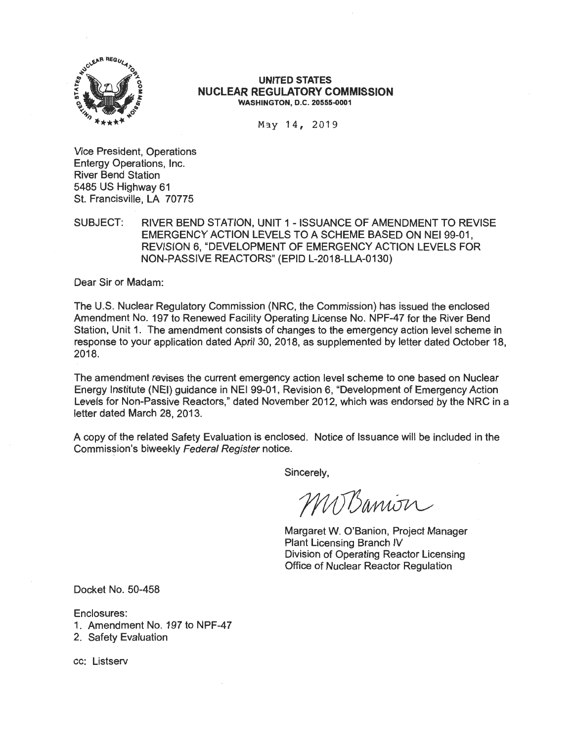

#### **UNITED STATES NUCLEAR REGULATORY COMMISSION WASHINGTON, D.C. 20555-0001**

May 14, 2019

Vice President, Operations Entergy Operations, Inc. River Bend Station 5485 US Highway 61 St. Francisville, LA 70775

SUBJECT: RIVER BEND STATION, UNIT 1 - ISSUANCE OF AMENDMENT TO REVISE EMERGENCY ACTION LEVELS TO A SCHEME BASED ON NEI 99-01, REVISION 6, "DEVELOPMENT OF EMERGENCY ACTION LEVELS FOR NON-PASSIVE REACTORS" (EPID L-2018-LLA-0130)

Dear Sir or Madam:

The U.S. Nuclear Regulatory Commission (NRC, the Commission) has issued the enclosed Amendment No. 197 to Renewed Facility Operating License No. NPF-47 for the River Bend Station, Unit 1. The amendment consists of changes to the emergency action level scheme in response to your application dated April 30, 2018, as supplemented by letter dated October 18, 2018.

The amendment revises the current emergency action level scheme to one based on Nuclear Energy Institute (NEI) guidance in NEI 99-01 , Revision 6, "Development of Emergency Action Levels for Non-Passive Reactors," dated November 2012, which was endorsed by the NRC in a letter dated March 28, 2013.

A copy of the related Safety Evaluation is enclosed. Notice of Issuance will be included in the Commission's biweekly Federal Register notice.

Sincerely,

MUBanion

Margaret W. O'Banion, Project Manager Plant Licensing Branch IV Division of Operating Reactor Licensing Office of Nuclear Reactor Regulation

Docket No. 50-458

Enclosures:

- 1. Amendment No. 197 to NPF-47
- 2. Safety Evaluation

cc: Listserv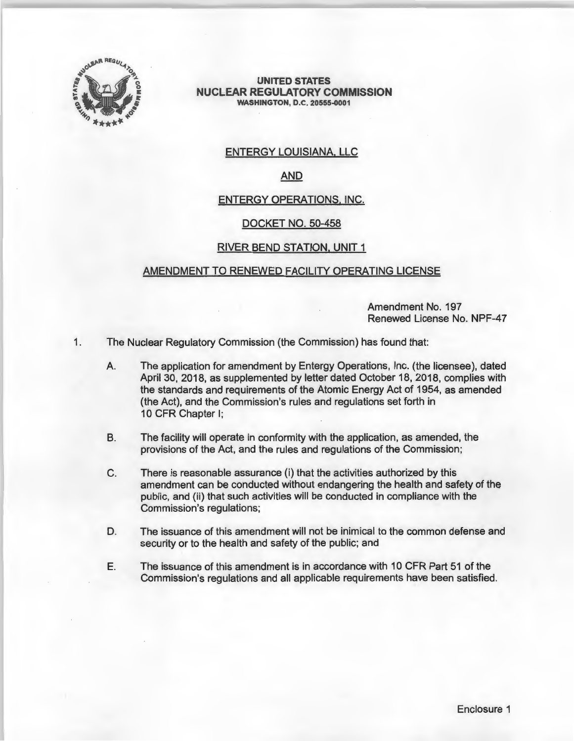

**UNITED STATES NUCLEAR REGULATORY COMMISSION WASHINGTON, O.C. 20555-0001** 

# ENTERGY LOUISIANA, LLC

# AND

## ENTERGY OPERATIONS, INC.

#### DOCKET NO. 50-458

## RIVER BEND STATION, UNIT 1

## AMENDMENT TO RENEWED FACILITY OPERATING LICENSE

Amendment No. 197 Renewed License No. NPF-47

- 1. The Nuclear Regulatory Commission (the Commission) has found that:
	- A. The application for amendment by Entergy Operations, Inc. (the licensee), dated April 30, 2018, as supplemented by letter dated October 18, 2018, complies with the standards and requirements of the Atomic Energy Act of 1954, as amended (the Act), and the Commission's rules and regulations set forth in 10 CFR Chapter I;
	- B. The facility will operate in conformity with the application, as amended, the provisions of the Act, and the rules and regulations of the Commission;
	- C. There is reasonable assurance (i) that the activities authorized by this amendment can be conducted without endangering the health and safety of the public, and (ii) that such activities will be conducted in compliance with the Commission's regulations;
	- D. The issuance of this amendment will not be inimical to the common defense and security or to the health and safety of the public; and
	- E. The issuance of this amendment is in accordance with 10 CFR Part 51 of the Commission's regulations and all applicable requirements have been satisfied.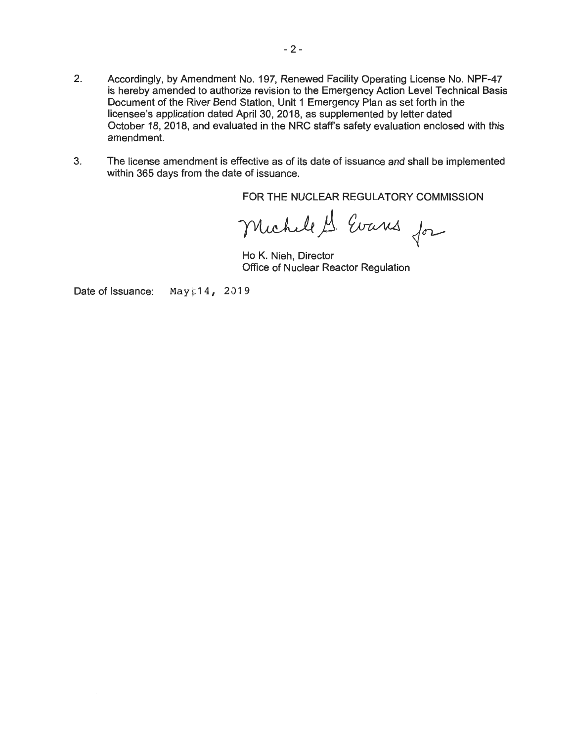- 2. Accordingly, by Amendment No. 197, Renewed Facility Operating License No. NPF-47 is hereby amended to authorize revision to the Emergency Action Level Technical Basis Document of the River Bend Station, Unit 1 Emergency Plan as set forth in the licensee's application dated April 30, 2018, as supplemented by letter dated October 18, 2018, and evaluated in the NRC staffs safety evaluation enclosed with this amendment.
- 3. The license amendment is effective as of its date of issuance and shall be implemented within 365 days from the date of issuance.

FOR THE NUCLEAR REGULATORY COMMISSION

Michell S. Evans for

Ho K. Nieh, Director Office of Nuclear Reactor Regulation

Date of Issuance: May  $14, 2019$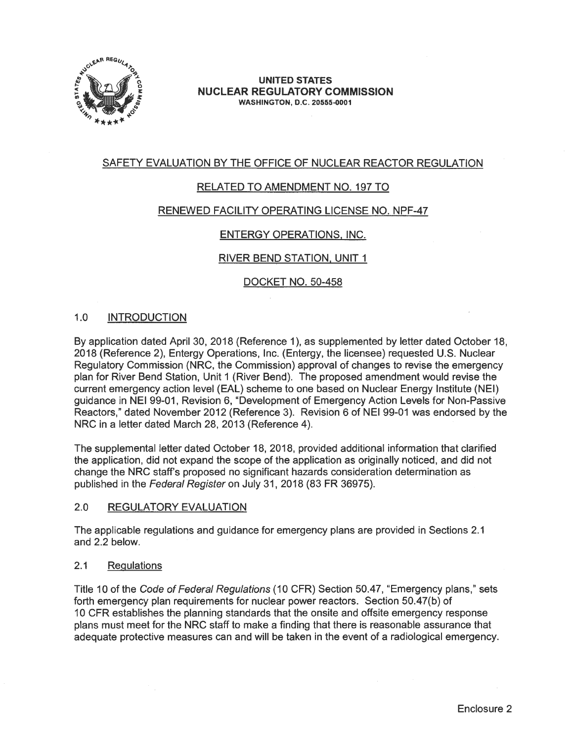

#### **UNITED STATES NUCLEAR REGULATORY COMMISSION WASHINGTON, D.C. 20555-0001**

# SAFETY EVALUATION BY THE OFFICE OF NUCLEAR REACTOR REGULATION

# RELATED TO AMENDMENT NO. 197 TO

## RENEWED FACILITY OPERATING LICENSE NO. NPF-47

# ENTERGY OPERATIONS, INC.

# RIVER BEND STATION, UNIT 1

DOCKET NO. 50-458

## 1.0 INTRODUCTION

By application dated April 30, 2018 (Reference 1), as supplemented by letter dated October 18, 2018 (Reference 2), Entergy Operations, Inc. (Entergy, the licensee) requested U.S. Nuclear Regulatory Commission (NRC, the Commission) approval of changes to revise the emergency plan for River Bend Station, Unit 1 (River Bend). The proposed amendment would revise the current emergency action level (EAL) scheme to one based on Nuclear Energy Institute (NEI) guidance in NEI 99-01, Revision 6, "Development of Emergency Action Levels for Non-Passive Reactors," dated November 2012 (Reference 3). Revision 6 of NEI 99-01 was endorsed by the NRC in a letter dated March 28, 2013 (Reference 4).

The supplemental letter dated October 18, 2018, provided additional information that clarified the application, did not expand the scope of the application as originally noticed, and did not change the NRC staff's proposed no significant hazards consideration determination as published in the Federal Register on July 31, 2018 (83 FR 36975).

## 2.0 REGULATORY EVALUATION

The applicable regulations and guidance for emergency plans are provided in Sections 2.1 and 2.2 below.

#### 2.1 Regulations

Title 10 of the Code of Federal Regulations (10 CFR) Section 50.47, "Emergency plans," sets forth emergency plan requirements for nuclear power reactors. Section 50.47(b) of 10 CFR establishes the planning standards that the onsite and offsite emergency response plans must meet for the NRC staff to make a finding that there is reasonable assurance that adequate protective measures can and will be taken in the event of a radiological emergency.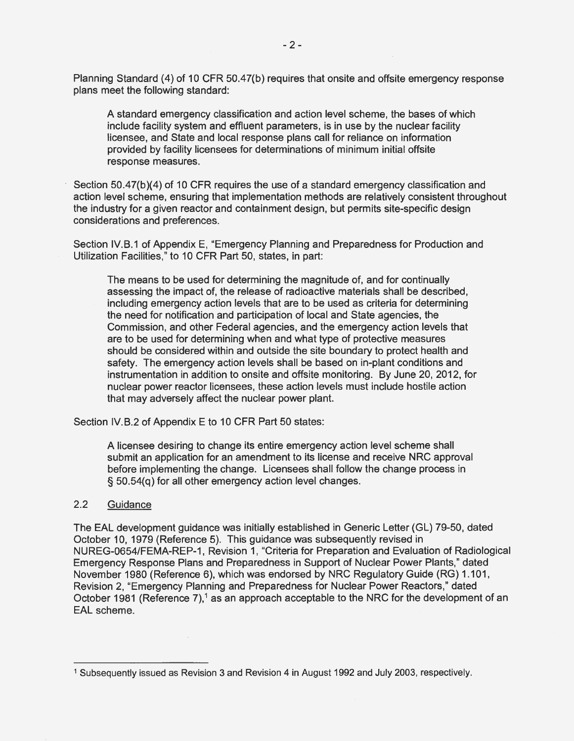Planning Standard (4) of 10 CFR 50.47(b) requires that onsite and offsite emergency response plans meet the following standard:

A standard emergency classification and action level scheme, the bases of which include facility system and effluent parameters, is in use by the nuclear facility licensee, and State and local response plans call for reliance on information provided by facility licensees for determinations of minimum initial offsite response measures.

Section 50.47(b)(4) of 10 CFR requires the use of a standard emergency classification and action level scheme, ensuring that implementation methods are relatively consistent throughout the industry for a given reactor and containment design, but permits site-specific design considerations and preferences.

Section IV.B.1 of Appendix E, "Emergency Planning and Preparedness for Production and Utilization Facilities," to 10 CFR Part 50, states, in part:

The means to be used for determining the magnitude of, and for continually assessing the impact of, the release of radioactive materials shall be described, including emergency action levels that are to be used as criteria for determining the need for notification and participation of local and State agencies, the Commission, and other Federal agencies, and the emergency action levels that are to be used for determining when and what type of protective measures should be considered within and outside the site boundary to protect health and safety. The emergency action levels shall be based on in-plant conditions and instrumentation in addition to onsite and offsite monitoring. By June 20, 2012, for nuclear power reactor licensees, these action levels must include hostile action that may adversely affect the nuclear power plant.

Section IV.B.2 of Appendix E to 10 CFR Part 50 states:

A licensee desiring to change its entire emergency action level scheme shall submit an application for an amendment to its license and receive NRC approval before implementing the change. Licensees shall follow the change process in § 50.54(q) for all other emergency action level changes.

## 2.2 Guidance

The EAL development guidance was initially established in Generic Letter (GL) 79-50, dated October 10, 1979 (Reference 5). This guidance was subsequently revised in NUREG-0654/FEMA-REP-1, Revision 1, "Criteria for Preparation and Evaluation of Radiological Emergency Response Plans and Preparedness in Support of Nuclear Power Plants," dated November 1980 (Reference 6), which was endorsed by NRC Regulatory Guide (RG) 1.101, Revision 2, "Emergency Planning and Preparedness for Nuclear Power Reactors," dated October 1981 (Reference 7),<sup>1</sup> as an approach acceptable to the NRC for the development of an EAL scheme.

<sup>1</sup> Subsequently issued as Revision 3 and Revision 4 in August 1992 and July 2003, respectively.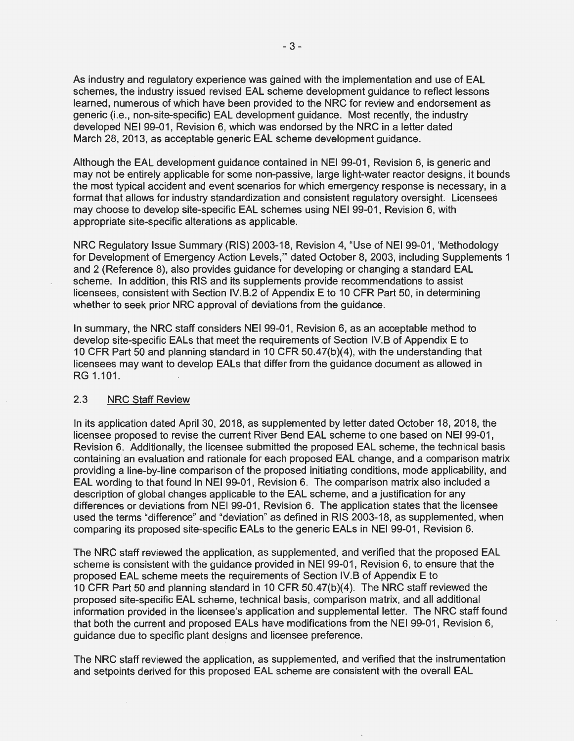As industry and regulatory experience was gained with the implementation and use of EAL schemes, the industry issued revised EAL scheme development guidance to reflect lessons learned, numerous of which have been provided to the NRC for review and endorsement as generic (i.e., non-site-specific) EAL development guidance. Most recently, the industry developed NEI 99-01, Revision 6, which was endorsed by the NRC in a letter dated March 28, 2013, as acceptable generic EAL scheme development guidance.

Although the EAL development guidance contained in NEI 99-01, Revision 6, is generic and may not be entirely applicable for some non-passive, large light-water reactor designs, it bounds the most typical accident and event scenarios for which emergency response is necessary, in a format that allows for industry standardization and consistent regulatory oversight. Licensees may choose to develop site-specific EAL schemes using NEI 99-01, Revision 6, with appropriate site-specific alterations as applicable.

NRC Regulatory Issue Summary (RIS) 2003-18, Revision 4, "Use of NEI 99-01, 'Methodology for Development of Emergency Action Levels,"' dated October 8, 2003, including Supplements 1 and 2 (Reference 8), also provides guidance for developing or changing a standard EAL scheme. In addition, this RIS and its supplements provide recommendations to assist licensees, consistent with Section IV.B.2 of Appendix E to 10 CFR Part 50, in determining whether to seek prior NRC approval of deviations from the guidance.

In summary, the NRC staff considers NEI 99-01, Revision 6, as an acceptable method to develop site-specific EALs that meet the requirements of Section IV.B of Appendix E to 10 CFR Part 50 and planning standard in 10 CFR 50.47(b)(4), with the understanding that licensees may want to develop EALs that differ from the guidance document as allowed in RG 1.101.

## 2.3 NRC Staff Review

In its application dated April 30, 2018, as supplemented by letter dated October 18, 2018, the licensee proposed to revise the current River Bend EAL scheme to one based on NEI 99-01, Revision 6. Additionally, the licensee submitted the proposed EAL scheme, the technical basis containing an evaluation and rationale for each proposed EAL change, and a comparison matrix providing a line-by-line comparison of the proposed initiating conditions, mode applicability, and EAL wording to that found in NEI 99-01, Revision 6. The comparison matrix also included a description of global changes applicable to the EAL scheme, and a justification for any differences or deviations from NEI 99-01, Revision 6. The application states that the licensee used the terms "difference" and "deviation" as defined in RIS 2003-18, as supplemented, when comparing its proposed site-specific EALs to the generic EALs in NEI 99-01, Revision 6.

The NRC staff reviewed the application, as supplemented, and verified that the proposed EAL scheme is consistent with the guidance provided in NEI 99-01, Revision 6, to ensure that the proposed EAL scheme meets the requirements of Section IV.B of Appendix E to 10 CFR Part 50 and planning standard in 10 CFR 50.47(b)(4). The NRC staff reviewed the proposed site-specific EAL scheme, technical basis, comparison matrix, and all additional information provided in the licensee's application and supplemental letter. The NRC staff found that both the current and proposed EALs have modifications from the NEI 99-01, Revision 6, guidance due to specific plant designs and licensee preference.

The NRC staff reviewed the application, as supplemented, and verified that the instrumentation and setpoints derived for this proposed EAL scheme are consistent with the overall EAL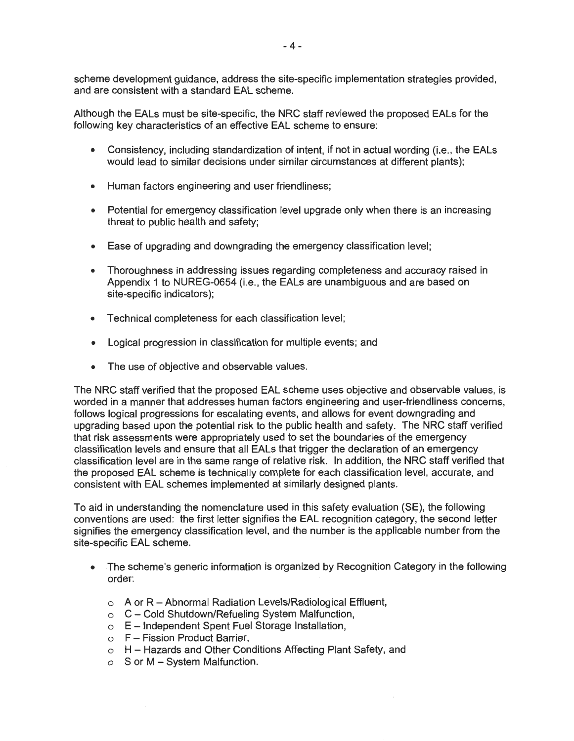scheme development guidance, address the site-specific implementation strategies provided, and are consistent with a standard EAL scheme.

Although the EALs must be site-specific, the NRC staff reviewed the proposed EALs for the following key characteristics of an effective EAL scheme to ensure:

- Consistency, including standardization of intent, if not in actual wording (i.e., the EALs would lead to similar decisions under similar circumstances at different plants);
- Human factors engineering and user friendliness;
- Potential for emergency classification level upgrade only when there is an increasing threat to public health and safety;
- Ease of upgrading and downgrading the emergency classification level;
- Thoroughness in addressing issues regarding completeness and accuracy raised in Appendix 1 to NUREG-0654 (i.e., the EALs are unambiguous and are based on site-specific indicators);
- Technical completeness for each classification level;
- Logical progression in classification for multiple events; and
- The use of objective and observable values.

The NRC staff verified that the proposed EAL scheme uses objective and observable values, is worded in a manner that addresses human factors engineering and user-friendliness concerns, follows logical progressions for escalating events, and allows for event downgrading and upgrading based upon the potential risk to the public health and safety. The NRC staff verified that risk assessments were appropriately used to set the boundaries of the emergency classification levels and ensure that all EALs that trigger the declaration of an emergency classification level are in the same range of relative risk. In addition, the NRC staff verified that the proposed EAL scheme is technically complete for each classification level, accurate, and consistent with EAL schemes implemented at similarly designed plants.

To aid in understanding the nomenclature used in this safety evaluation (SE), the following conventions are used: the first letter signifies the EAL recognition category, the second letter signifies the emergency classification level, and the number is the applicable number from the site-specific EAL scheme.

- The scheme's generic information is organized by Recognition Category in the following order:
	- o A or R Abnormal Radiation Levels/Radiological Effluent,
	- o C Cold Shutdown/Refueling System Malfunction,
	- o E Independent Spent Fuel Storage Installation,
	- $o$   $F F$ ission Product Barrier,
	- o H Hazards and Other Conditions Affecting Plant Safety, and
	- o S or M System Malfunction.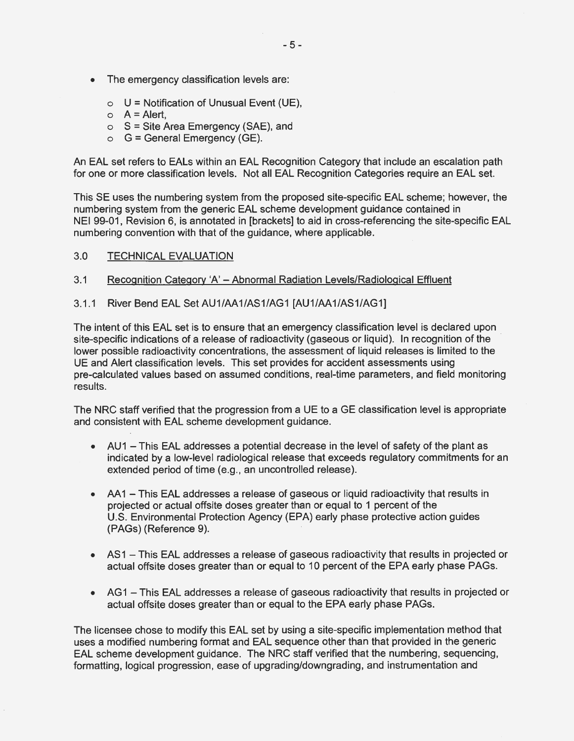- The emergency classification levels are:
	- $\circ$  U = Notification of Unusual Event (UE),
	- $\circ$  A = Alert,
	- $\circ$  S = Site Area Emergency (SAE), and
	- $\circ$  G = General Emergency (GE).

An EAL set refers to EALs within an EAL Recognition Category that include an escalation path for one or more classification levels. Not all EAL Recognition Categories require an EAL set.

This SE uses the numbering system from the proposed site-specific EAL scheme; however, the numbering system from the generic EAL scheme development guidance contained in NEI 99-01, Revision 6, is annotated in [brackets] to aid in cross-referencing the site-specific EAL numbering convention with that of the guidance, where applicable.

- 3.0 TECHNICAL EVALUATION
- 3.1 Recognition Category 'A' Abnormal Radiation Levels/Radiological Effluent
- 3.1.1 River Bend EAL Set AU1/AA1/AS1/AG1 [AU1/AA1/AS1/AG1]

The intent of this EAL set is to ensure that an emergency classification level is declared upon site-specific indications of a release of radioactivity (gaseous or liquid). In recognition of the lower possible radioactivity concentrations, the assessment of liquid releases is limited to the UE and Alert classification levels. This set provides for accident assessments using pre-calculated values based on assumed conditions, real-time parameters, and field monitoring results.

The NRC staff verified that the progression from a UE to a GE classification level is appropriate and consistent with EAL scheme development guidance.

- AU1 This EAL addresses a potential decrease in the level of safety of the plant as indicated by a low-level radiological release that exceeds regulatory commitments for an extended period of time (e.g., an uncontrolled release).
- AA1 This EAL addresses a release of gaseous or liquid radioactivity that results in projected or actual offsite doses greater than or equal to 1 percent of the U.S. Environmental Protection Agency (EPA) early phase protective action guides (PAGs) (Reference 9).
- AS1 This EAL addresses a release of gaseous radioactivity that results in projected or actual offsite doses greater than or equal to 10 percent of the EPA early phase PAGs.
- AG1 This EAL addresses a release of gaseous radioactivity that results in projected or actual offsite doses greater than or equal to the EPA early phase PAGs.

The licensee chose to modify this EAL set by using a site-specific implementation method that uses a modified numbering format and EAL sequence other than that provided in the generic EAL scheme development guidance. The NRC staff verified that the numbering, sequencing, formatting, logical progression, ease of upgrading/downgrading, and instrumentation and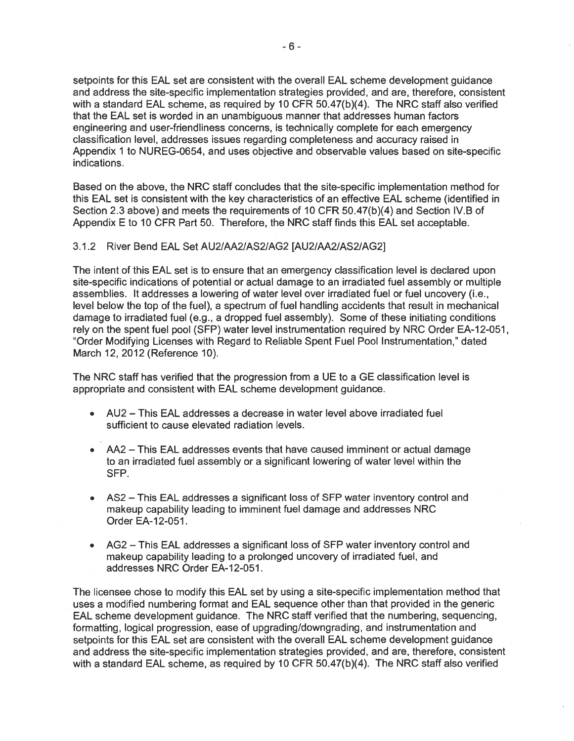setpoints for this EAL set are consistent with the overall EAL scheme development guidance and address the site-specific implementation strategies provided, and are, therefore, consistent with a standard EAL scheme, as required by 10 CFR 50.47(b)(4). The NRC staff also verified that the EAL set is worded in an unambiguous manner that addresses human factors engineering and user-friendliness concerns, is technically complete for each emergency classification level, addresses issues regarding completeness and accuracy raised in Appendix 1 to NUREG-0654, and uses objective and observable values based on site-specific indications.

Based on the above, the NRC staff concludes that the site-specific implementation method for this EAL set is consistent with the key characteristics of an effective EAL scheme (identified in Section 2.3 above) and meets the requirements of 10 CFR 50.47(b)(4) and Section IV.B of Appendix E to 10 CFR Part 50. Therefore, the NRC staff finds this EAL set acceptable.

#### 3.1.2 River Bend EAL Set AU2/AA2/AS2/AG2 [AU2/AA2/AS2/AG2]

The intent of this EAL set is to ensure that an emergency classification level is declared upon site-specific indications of potential or actual damage to an irradiated fuel assembly or multiple assemblies. It addresses a lowering of water level over irradiated fuel or fuel uncovery (i.e., level below the top of the fuel), a spectrum of fuel handling accidents that result in mechanical damage to irradiated fuel (e.g., a dropped fuel assembly). Some of these initiating conditions rely on the spent fuel pool (SFP) water level instrumentation required by NRC Order EA-12-051, "Order Modifying Licenses with Regard to Reliable Spent Fuel Pool Instrumentation," dated March 12, 2012 (Reference 10).

The NRC staff has verified that the progression from a UE to a GE classification level is appropriate and consistent with EAL scheme development guidance.

- AU2 This EAL addresses a decrease in water level above irradiated fuel sufficient to cause elevated radiation levels.
- AA2 This EAL addresses events that have caused imminent or actual damage to an irradiated fuel assembly or a significant lowering of water level within the SFP.
- AS2 This EAL addresses a significant loss of SFP water inventory control and makeup capability leading to imminent fuel damage and addresses NRC Order EA-12-051.
- AG2 This EAL addresses a significant loss of SFP water inventory control and makeup capability leading to a prolonged uncovery of irradiated fuel, and addresses NRC Order EA-12-051 .

The licensee chose to modify this EAL set by using a site-specific implementation method that uses a modified numbering format and EAL sequence other than that provided in the generic EAL scheme development guidance. The NRC staff verified that the numbering, sequencing, formatting, logical progression, ease of upgrading/downgrading, and instrumentation and setpoints for this EAL set are consistent with the overall EAL scheme development guidance and address the site-specific implementation strategies provided, and are, therefore, consistent with a standard EAL scheme, as required by 10 CFR 50.47(b)(4). The NRC staff also verified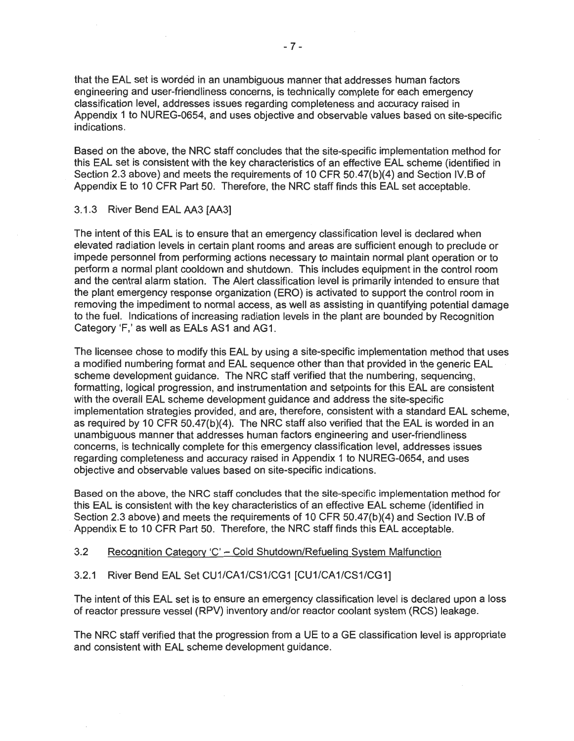that the EAL set is worded in an unambiguous manner that addresses human factors engineering and user-friendliness concerns, is technically complete for each emergency classification level, addresses issues regarding completeness and accuracy raised in Appendix 1 to NUREG-0654, and uses objective and observable values based on site-specific indications.

Based on the above, the NRC staff concludes that the site-specific implementation method for this EAL set is consistent with the key characteristics of an effective EAL scheme (identified in Section 2.3 above) and meets the requirements of 10 CFR 50.47(b)(4) and Section IV.B of Appendix E to 10 CFR Part 50. Therefore, the NRC staff finds this EAL set acceptable.

#### 3.1.3 River Bend EAL AA3 [AA3]

The intent of this EAL is to ensure that an emergency classification level is declared when elevated radiation levels in certain plant rooms and areas are sufficient enough to preclude or impede personnel from performing actions necessary to maintain normal plant operation or to perform a normal plant cooldown and shutdown. This includes equipment in the control room and the central alarm station. The Alert classification level is primarily intended to ensure that the plant emergency response organization (ERO) is activated to support the control room in removing the impediment to normal access, as well as assisting in quantifying potential damage to the fuel. Indications of increasing radiation levels in the plant are bounded by Recognition Category 'F,' as well as EALs AS1 and AG1.

The licensee chose to modify this EAL by using a site-specific implementation method that uses a modified numbering format and EAL sequence other than that provided in the generic EAL scheme development guidance. The NRC staff verified that the numbering, sequencing, formatting, logical progression, and instrumentation and setpoints for this EAL are consistent with the overall EAL scheme development guidance and address the site-specific implementation strategies provided, and are, therefore, consistent with a standard EAL scheme, as required by 10 CFR 50.47(b)(4). The NRC staff also verified that the EAL is worded in an unambiguous manner that addresses human factors engineering and user-friendliness concerns, is technically complete for this emergency classification level, addresses issues regarding completeness and accuracy raised in Appendix 1 to NUREG-0654, and uses objective and observable values based on site-specific indications.

Based on the above, the NRC staff concludes that the site-specific implementation method for this EAL is consistent with the key characteristics of an effective EAL scheme (identified in Section 2.3 above) and meets the requirements of 10 CFR 50.47(b)(4) and Section IV.B of Appendix E to 10 CFR Part 50. Therefore, the NRC staff finds this EAL acceptable.

## 3.2 Recognition Category 'C' - Cold Shutdown/Refueling System Malfunction

## 3.2.1 River Bend EAL Set CU1/CA1/CS1/CG1 [CU1/CA1/CS1/CG1]

The intent of this EAL set is to ensure an emergency classification level is declared upon a loss of reactor pressure vessel (RPV) inventory and/or reactor coolant system (RCS) leakage.

The NRC staff verified that the progression from a UE to a GE classification level is appropriate and consistent with EAL scheme development guidance.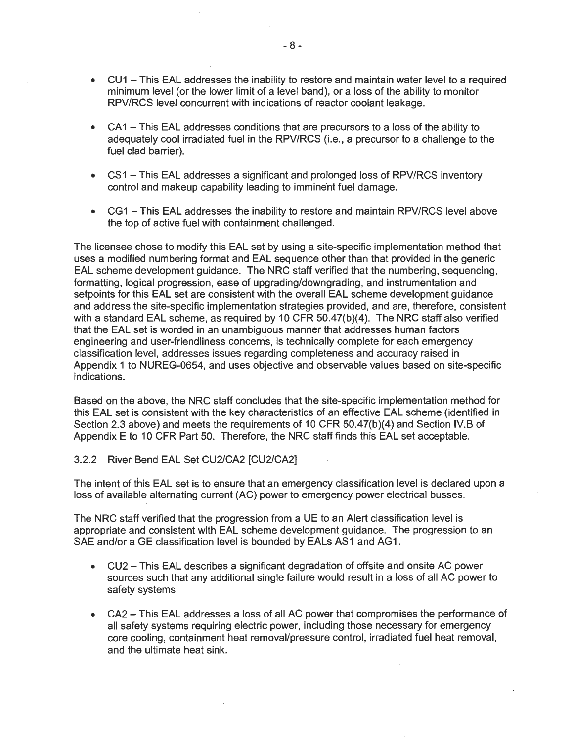- CU1 This EAL addresses the inability to restore and maintain water level to a required minimum level (or the lower limit of a level band), or a loss of the ability to monitor RPV/RCS level concurrent with indications of reactor coolant leakage.
- CA1 This EAL addresses conditions that are precursors to a loss of the ability to adequately cool irradiated fuel in the RPV/RCS (i.e., a precursor to a challenge to the fuel clad barrier).
- CS1 This EAL addresses a significant and prolonged loss of RPV/RCS inventory control and makeup capability leading to imminent fuel damage.
- CG1 This EAL addresses the inability to restore and maintain RPV/RCS level above the top of active fuel with containment challenged.

The licensee chose to modify this EAL set by using a site-specific implementation method that uses a modified numbering format and EAL sequence other than that provided in the generic EAL scheme development guidance. The NRC staff verified that the numbering, sequencing, formatting, logical progression, ease of upgrading/downgrading, and instrumentation and setpoints for this EAL set are consistent with the overall EAL scheme development guidance and address the site-specific implementation strategies provided, and are, therefore, consistent with a standard EAL scheme, as required by 10 CFR 50.47(b)(4). The NRC staff also verified that the EAL set is worded in an unambiguous manner that addresses human factors engineering and user-friendliness concerns, is technically complete for each emergency classification level, addresses issues regarding completeness and accuracy raised in Appendix 1 to NUREG-0654, and uses objective and observable values based on site-specific indications.

Based on the above, the NRC staff concludes that the site-specific implementation method for this EAL set is consistent with the key characteristics of an effective EAL scheme (identified in Section 2.3 above) and meets the requirements of 10 CFR 50.47(b)(4) and Section IV.B of Appendix E to 10 CFR Part 50. Therefore, the NRC staff finds this EAL set acceptable.

#### 3.2.2 River Bend EAL Set CU2/CA2 [CU2/CA2]

The intent of this EAL set is to ensure that an emergency classification level is declared upon a loss of available alternating current (AC) power to emergency power electrical busses.

The NRC staff verified that the progression from a UE to an Alert classification level is appropriate and consistent with EAL scheme development guidance. The progression to an SAE and/or a GE classification level is bounded by EALs AS1 and AG1.

- . . CU2 This EAL describes a significant degradation of offsite and onsite AC power sources such that any additional single failure would result in a loss of all AC power to safety systems.
- CA2 This EAL addresses a loss of all AC power that compromises the performance of all safety systems requiring electric power, including those necessary for emergency core cooling, containment heat removal/pressure control, irradiated fuel heat removal, and the ultimate heat sink.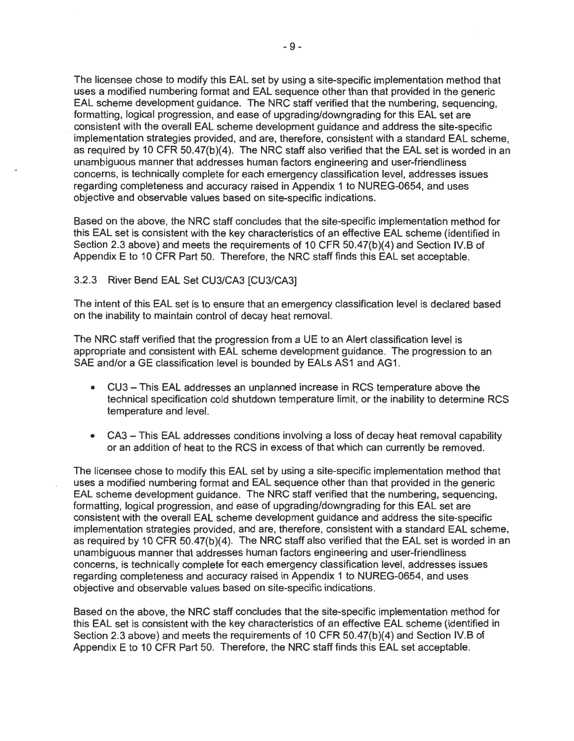The licensee chose to modify this EAL set by using a site-specific implementation method that uses a modified numbering format and EAL sequence other than that provided in the generic EAL scheme development guidance. The NRC staff verified that the numbering, sequencing, formatting, logical progression, and ease of upgrading/downgrading for this EAL set are , consistent with the overall EAL scheme development guidance and address the site-specific implementation strategies provided, and are, therefore, consistent with a standard EAL scheme, as required by 10 CFR 50.47(b)(4). The NRC staff also verified that the EAL set is worded in an unambiguous manner that addresses human factors engineering and user-friendliness concerns, is technically complete for each emergency classification level, addresses issues regarding completeness and accuracy raised in Appendix 1 to NUREG-0654, and uses objective and observable values based on site-specific indications.

Based on the above, the NRC staff concludes that the site-specific implementation method for this EAL set is consistent with the key characteristics of an effective EAL scheme (identified in Section 2.3 above) and meets the requirements of 10 CFR 50.47(b)(4) and Section IV.B of Appendix E to 10 CFR Part 50. Therefore, the NRC staff finds this EAL set acceptable.

#### 3.2.3 River Bend EAL Set CU3/CA3 [CU3/CA3]

The intent of this EAL set is to ensure that an emergency classification level is declared based on the inability to maintain control of decay heat removal.

The NRC staff verified that the progression from a UE to an Alert classification level is appropriate and consistent with EAL scheme development guidance. The progression to an SAE and/or a GE classification level is bounded by EALs AS1 and AG1.

- CU3 This EAL addresses an unplanned increase in RCS temperature above the technical specification cold shutdown temperature limit, or the inability to determine RCS temperature and level.
- CA3 This EAL addresses conditions involving a loss of decay heat removal capability or an addition of heat to the RCS in excess of that which can currently be removed.

The licensee chose to modify this EAL set by using a site-specific implementation method that uses a modified numbering format and EAL sequence other than that provided in the generic EAL scheme development guidance. The NRC staff verified that the numbering, sequencing, formatting, logical progression, and ease of upgrading/downgrading for this EAL set are consistent with the overall EAL scheme development guidance and address the site-specific implementation strategies provided, and are, therefore, consistent with a standard EAL scheme, as required by 10 CFR 50.47(b)(4). The NRC staff also verified that the EAL set is worded in an unambiguous manner that addresses human factors engineering and user-friendliness concerns, is technically complete for each emergency classification level, addresses issues regarding completeness and accuracy raised in Appendix 1 to NUREG-0654, and uses objective and observable values based on site-specific indications.

Based on the above, the NRC staff concludes that the site-specific implementation method for this EAL set is consistent with the key characteristics of an effective EAL scheme (identified in Section 2.3 above) and meets the requirements of 10 CFR 50.47(b)(4) and Section IV.B of Appendix E to 10 CFR Part 50. Therefore, the NRC staff finds this EAL set acceptable.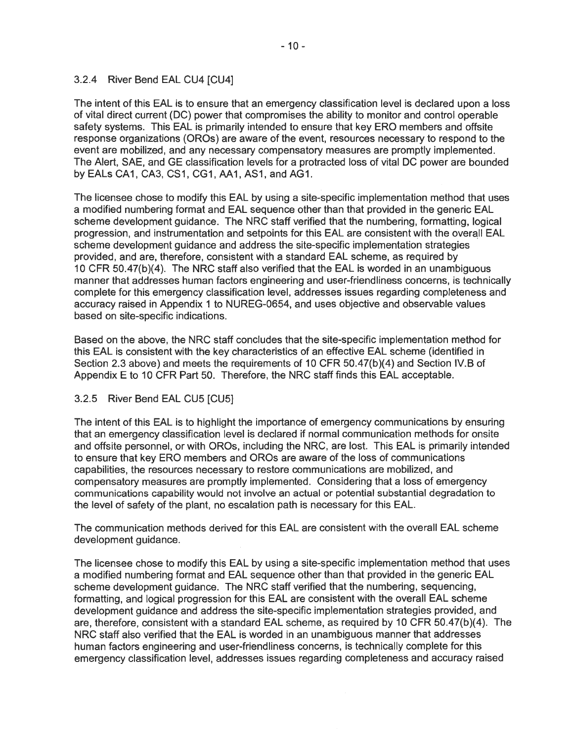# 3.2.4 River Bend EAL CU4 [CU4]

The intent of this EAL is to ensure that an emergency classification level is declared upon a loss of vital direct current (DC) power that compromises the ability to monitor and control operable safety systems. This EAL is primarily intended to ensure that key ERO members and offsite response organizations (OROs) are aware of the event, resources necessary to respond to the event are mobilized, and any necessary compensatory measures are promptly implemented. The Alert, SAE, and GE classification levels for a protracted loss of vital DC power are bounded by EALs CA1, CA3, CS1, CG1, AA1, AS1, and AG1.

The licensee chose to modify this EAL by using a site-specific implementation method that uses a modified numbering format and EAL sequence other than that provided in the generic EAL scheme development guidance. The NRC staff verified that the numbering, formatting, logical progression, and instrumentation and setpoints for this EAL are consistent with the overall EAL scheme development guidance and address the site-specific implementation strategies provided, and are, therefore, consistent with a standard EAL scheme, as required by 10 CFR 50.47(b)(4). The NRC staff also verified that the EAL is worded in an unambiguous manner that addresses human factors engineering and user-friendliness concerns, is technically complete for this emergency classification level, addresses issues regarding completeness and accuracy raised in Appendix 1 to NUREG-0654, and uses objective and observable values based on site-specific indications.

Based on the above, the NRC staff concludes that the site-specific implementation method for this EAL is consistent with the key characteristics of an effective EAL scheme (identified in Section 2.3 above) and meets the requirements of 10 CFR 50.47(b){4) and Section IV.B of Appendix E to 10 CFR Part 50. Therefore, the NRC staff finds this EAL acceptable.

## 3.2.5 River Bend EAL CU5 [CU5]

The intent of this EAL is to highlight the importance of emergency communications by ensuring that an emergency classification level is declared if normal communication methods for onsite and offsite personnel, or with OROs, including the NRC, are lost. This EAL is primarily intended to ensure that key ERO members and OROs are aware of the loss of communications capabilities, the resources necessary to restore communications are mobilized, and compensatory measures are promptly implemented. Considering that a loss of emergency communications capability would not involve an actual or potential substantial degradation to the level of safety of the plant, no escalation path is necessary for this EAL.

The communication methods derived for this EAL are consistent with the overall EAL scheme development guidance.

The licensee chose to modify this EAL by using a site-specific implementation method that uses a modified numbering format and EAL sequence other than that provided in the generic EAL scheme development guidance. The NRC staff verified that the numbering, sequencing, formatting, and logical progression for this EAL are consistent with the overall EAL scheme development guidance and address the site-specific implementation strategies provided, and are, therefore, consistent with a standard EAL scheme, as required by 10 CFR 50.47(b)(4). The NRC staff also verified that the EAL is worded in an unambiguous manner that addresses human factors engineering and user-friendliness concerns, is technically complete for this emergency classification level, addresses issues regarding completeness and accuracy raised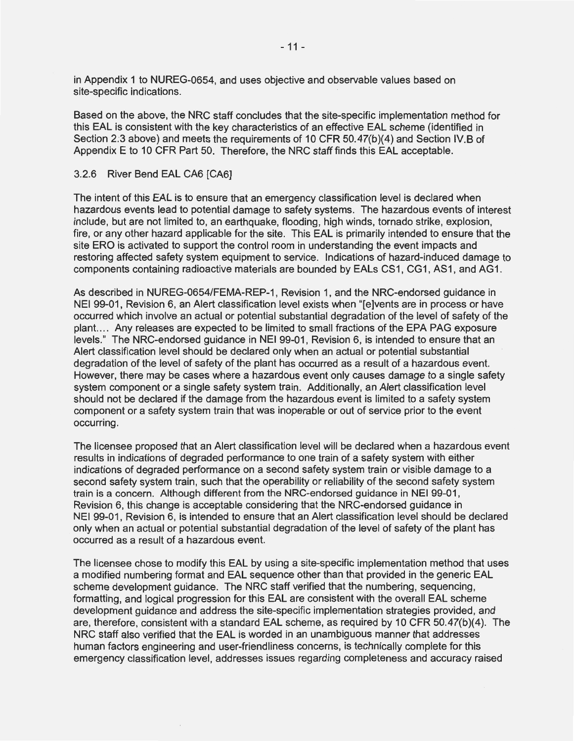in Appendix 1 to NUREG-0654, and uses objective and observable values based on site-specific indications.

Based on the above, the NRG staff concludes that the site-specific implementation method for this EAL is consistent with the key characteristics of an effective EAL scheme (identified in Section 2:3 above) and meets the requirements of 10 GFR 50.47(b)(4) and Section IV.B of Appendix E to 10 CFR Part 50. Therefore, the NRC staff finds this EAL acceptable.

#### 3.2.6 River Bend EAL GA6 [GA6]

The intent of this EAL is to ensure that an emergency classification level is declared when hazardous events lead to potential damage to safety systems. The hazardous events of interest include, but are not limited to, an earthquake, flooding, high winds, tornado strike, explosion, fire, or any other hazard applicable for the site. This EAL is primarily intended to ensure that the site ERO is activated to support the control room in understanding the event impacts and restoring affected safety system equipment to service. Indications of hazard-induced damage to components containing radioactive materials are bounded by EALs GS1, GG1, AS1, and AG1.

As described in NUREG-0654/FEMA-REP-1, Revision 1, and the NRG-endorsed guidance in NEI 99-01, Revision 6, an Alert classification level exists when "[e]vents are in process or have occurred which involve an actual or potential substantial degradation of the level of safety of the plant.... Any releases are expected to be limited to small fractions of the EPA PAG exposure levels." The NRG-endorsed guidance in NEI 99-01, Revision 6, is intended to ensure that an Alert classification level should be declared only when an actual or potential substantial degradation of the level of safety of the plant has occurred as a result of a hazardous event. However, there may be cases where a hazardous event only causes damage to a single safety system component or a single safety system train. Additionally, an Alert classification level should not be declared if the damage from the hazardous event is limited to a safety system component or a safety system train that was inoperable or out of service prior to the event occurring.

The licensee proposed that an Alert classification level will be declared when a hazardous event results in indications of degraded performance to one train of a safety system with either indications of degraded performance on a second safety system train or visible damage to a second safety system train, such that the operability or reliability of the second safety system train is a concern. Although different from the NRG-endorsed guidance in NEI 99-01, Revision 6, this change is acceptable considering that the NRG-endorsed guidance in NEI 99-01, Revision 6, is intended to ensure that an Alert classification level should be declared only when an actual or potential substantial degradation of the level of safety of the plant has occurred as a result of a hazardous event.

The licensee chose to modify this EAL by using a site-specific implementation method that uses a modified numbering format and EAL sequence other than that provided in the generic EAL scheme development guidance. The NRG staff verified that the numbering, sequencing, formatting, and logical progression for this EAL are consistent with the overall EAL scheme development guidance and address the site-specific implementation strategies provided, and are, therefore, consistent with a standard EAL scheme, as required by 10 GFR 50.47(b)(4). The NRG staff also verified that the EAL is worded in an unambiguous manner that addresses human factors engineering and user-friendliness concerns, is technically complete for this emergency classification level, addresses issues regarding completeness and accuracy raised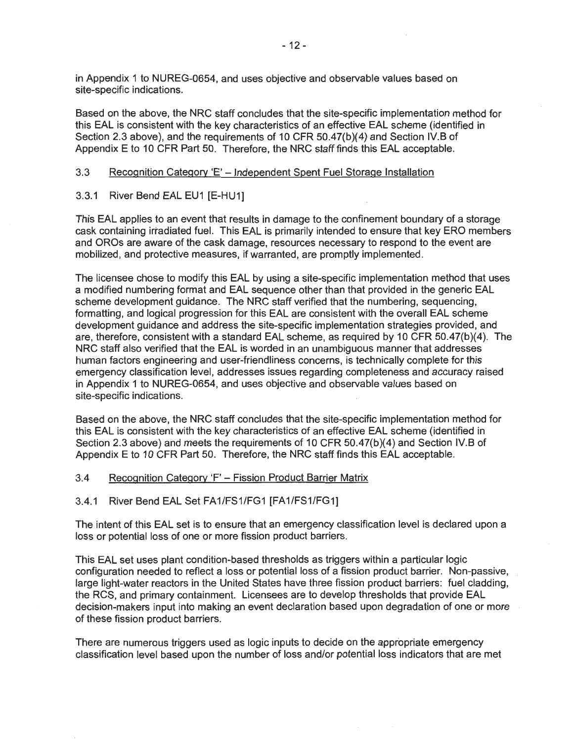in Appendix 1 to NUREG-0654, and uses objective and observable values based on site-specific indications.

Based on the above, the NRC staff concludes that the site-specific implementation method for this EAL is consistent with the key characteristics of an effective EAL scheme (identified in Section 2.3 above), and the requirements of 10 CFR 50.47(b)(4) and Section IV.B of Appendix E to 10 CFR Part 50. Therefore, the NRC staff finds this EAL acceptable.

## 3.3 Recognition Category 'E' - Independent Spent Fuel Storage Installation

3.3.1 River Bend EAL EU1 [E-HU1]

This EAL applies to an event that results in damage to the confinement boundary of a storage cask containing irradiated fuel. This EAL is primarily intended to ensure that key ERO members and OROs are aware of the cask damage, resources necessary to respond to the event are mobilized, and protective measures, if warranted, are promptly implemented. ·

The licensee chose to modify this EAL by using a site-specific implementation method that uses a modified numbering format and EAL sequence other than that provided in the generic EAL scheme development guidance. The NRC staff verified that the numbering, sequencing, formatting, and logical progression for this EAL are consistent with the overall EAL scheme development guidance and address the site-specific implementation strategies provided, and are, therefore, consistent with a standard EAL scheme, as required by 10 CFR 50.47(b)(4). The NRC staff also verified that the EAL is worded in an unambiguous manner that addresses human factors engineering and user-friendliness concerns, is technically complete for this emergency classification level, addresses issues regarding completeness and accuracy raised in Appendix 1 to NUREG-0654, and uses objective and observable values based on site-specific indications.

Based on the above, the NRC staff concludes that the site-specific implementation method for this EAL is consistent with the key characteristics of an effective EAL scheme (identified in Section 2.3 above) and meets the requirements of 10 CFR 50.47(b)(4) and Section IV.B of Appendix E to 10 CFR Part 50. Therefore, the NRC staff finds this EAL acceptable.

3.4 Recognition Category 'F' - Fission Product Barrier Matrix

#### 3.4.1 River Bend EAL Set FA1/FS1/FG1 [FA1/FS1/FG1]

The intent of this EAL set is to ensure that an emergency classification level is declared upon a loss or potential loss of one or more fission product barriers.

This EAL set uses plant condition-based thresholds as triggers within a particular logic configuration needed to reflect a loss or potential loss of a fission product barrier. Non-passive, large light-water reactors in the United States have three fission product barriers: fuel cladding, the RCS, and primary containment. Licensees are to develop thresholds that provide EAL decision-makers input into making an event declaration based upon degradation of one or more of these fission product barriers.

There are numerous triggers used as logic inputs to decide on the appropriate emergency classification level based upon the number of loss and/or potential loss indicators that are met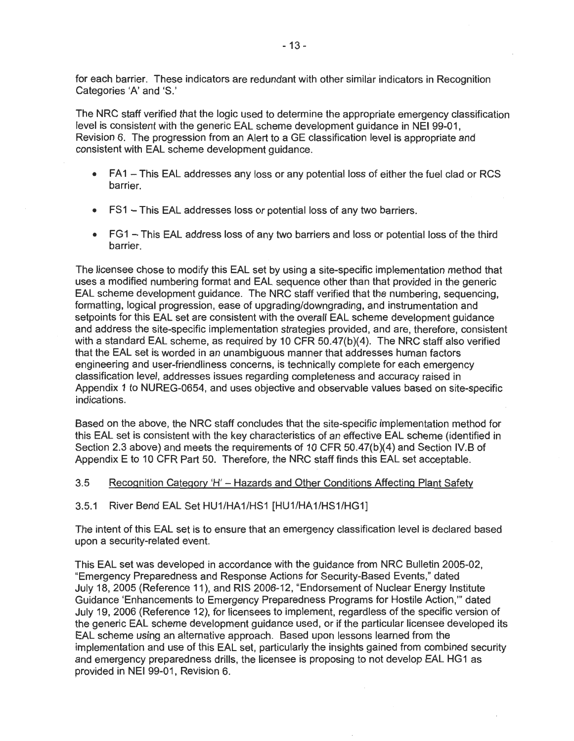for each barrier. These indicators are redundant with other similar indicators in Recognition Categories 'A' and 'S.'

The NRC staff verified that the logic used to determine the appropriate emergency classification level is consistent with the generic EAL scheme development guidance in NEI 99-01, Revision 6. The progression from an Alert to a GE classification level is appropriate and consistent with EAL scheme development guidance.

- FA1 This EAL addresses any loss or any potential loss of either the fuel clad or RCS barrier.
- FS1 This EAL addresses loss or potential loss of any two barriers.
- FG1 This EAL address loss of any two barriers and loss or potential loss of the third barrier.

The licensee chose to modify this EAL set by using a site-specific implementation method that uses a modified numbering format and EAL sequence other than that provided in the generic EAL scheme development guidance. The NRC staff verified that the numbering, sequencing, formatting, logical progression, ease of upgrading/downgrading, and instrumentation and setpoints for this EAL set are consistent with the overall EAL scheme development guidance and address the site-specific implementation strategies provided, and are, therefore, consistent with a standard EAL scheme, as required by 10 CFR 50.47(b)(4). The NRC staff also verified that the EAL set is worded in an unambiguous manner that addresses human factors engineering and user-friendliness concerns, is technically complete for each emergency classification level, addresses issues regarding completeness and accuracy raised in Appendix 1 to NUREG-0654, and uses objective and observable values based on site-specific indications.

Based on the above, the NRC staff concludes that the site-specific implementation method for this EAL set is consistent with the key characteristics of an effective EAL scheme (identified in Section 2.3 above) and meets the requirements of 10 CFR 50.47(b)(4) and Section IV.B of Appendix E to 10 CFR Part 50. Therefore, the NRC staff finds this EAL set acceptable.

#### 3.5 Recognition Category 'H' - Hazards and Other Conditions Affecting Plant Safety

3.5.1 River Bend EAL Set HU1/HA1/HS1 [HU1/HA1/HS1/HG1]

The intent of this EAL set is to ensure that an emergency classification level is declared based upon a security-related event.

This EAL set was developed in accordance with the guidance from NRC Bulletin 2005-02, "Emergency Preparedness and Response Actions for Security-Based Events," dated July 18, 2005 (Reference 11 ), and RIS 2006-12, "Endorsement of Nuclear Energy Institute Guidance 'Enhancements to Emergency Preparedness Programs for Hostile Action,"' dated July 19, 2006 (Reference 12), for licensees to implement, regardless of the specific version of the generic EAL scheme development guidance used, or if the particular licensee developed its EAL scheme using an alternative approach. Based upon lessons learned from the implementation and use of this EAL set, particularly the insights gained from combined security and emergency preparedness drills, the licensee is proposing to not develop EAL HG1 as provided in NEI 99-01, Revision 6.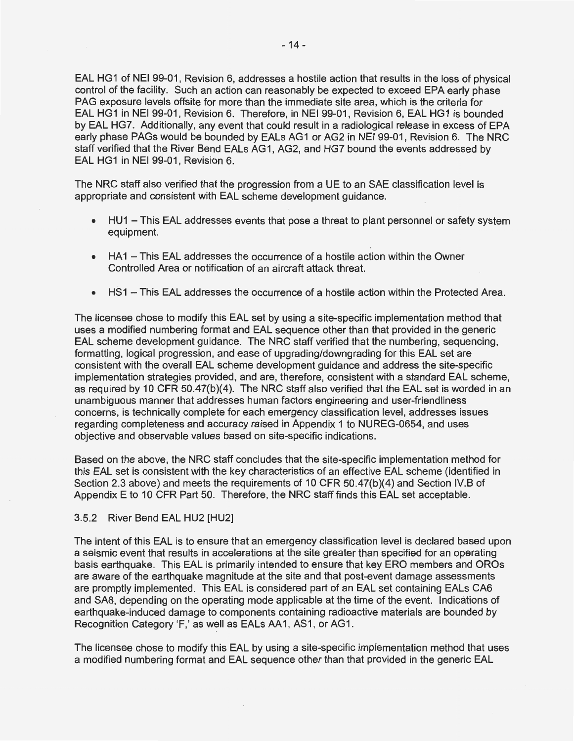EAL HG1 of NEI 99-01, Revision 6, addresses a hostile action that results in the loss of physical control of the facility. Such an action can reasonably be expected to exceed EPA early phase PAG exposure levels offsite for more than the immediate site area, which is the criteria for EAL HG1 in NEI 99-01, Revision 6. Therefore, in NEI 99-01, Revision 6, EAL HG1 is bounded by EAL HG?. Additionally, any event that could result in a radiological release in excess of EPA early phase PAGs would be bounded by EALs AG1 or AG2 in NEI 99-01 , Revision 6. The NRC staff verified that the River Bend EALs AG1, AG2, and HG7 bound the events addressed by EAL HG1 in NEI 99-01, Revision 6.

The NRC staff also verified that the progression from a UE to an SAE classification level is appropriate and consistent with EAL scheme development guidance.

- HU1 This EAL addresses events that pose a threat to plant personnel or safety system equipment.
- HA1 This EAL addresses the occurrence of a hostile action within the Owner Controlled Area or notification of an aircraft attack threat.
- HS1 This EAL addresses the occurrence of a hostile action within the Protected Area.

The licensee chose to modify this EAL set by using a site-specific implementation method that uses a modified numbering format and EAL sequence other than that provided in the generic EAL scheme development guidance. The NRC staff verified that the numbering, sequencing, formatting, logical progression, and ease of upgrading/downgrading for this EAL set are consistent with the overall EAL scheme development guidance and address the site-specific implementation strategies provided, and are, therefore, consistent with a standard EAL scheme, as required by 10 CFR 50.47(b)(4). The NRC staff also verified that the EAL set is worded in an unambiguous manner that addresses human factors engineering and user-friendliness concerns, is technically complete for each emergency classification level, addresses issues regarding completeness and accuracy raised in Appendix 1 to NUREG-0654, and uses objective and observable values based on site-specific indications.

Based on the above, the NRC staff concludes that the site-specific implementation method for this EAL set is consistent with the key characteristics of an effective EAL scheme (identified in Section 2.3 above) and meets the requirements of 10 CFR 50.47(b)(4) and Section IV.B of Appendix E to 10 CFR Part 50. Therefore, the NRC staff finds this EAL set acceptable.

#### 3.5.2 River Bend EAL HU2 [HU2]

The intent of this EAL is to ensure that an emergency classification level is declared based upon a seismic event that results in accelerations at the site greater than specified for an operating basis earthquake. This EAL is primarily intended to ensure that key ERO members and OROs are aware of the earthquake magnitude at the site and that post-event damage assessments are promptly implemented. This EAL is considered part of an EAL set containing EALs CA6 and SAS, depending on the operating mode applicable at the time of the event. Indications of earthquake-induced damage to components containing radioactive materials are bounded by Recognition Category 'F,' as well as EALs AA1, AS1, or AG1.

The licensee chose to modify this EAL by using a site-specific implementation method that uses a modified numbering format and EAL sequence other than that provided in the generic EAL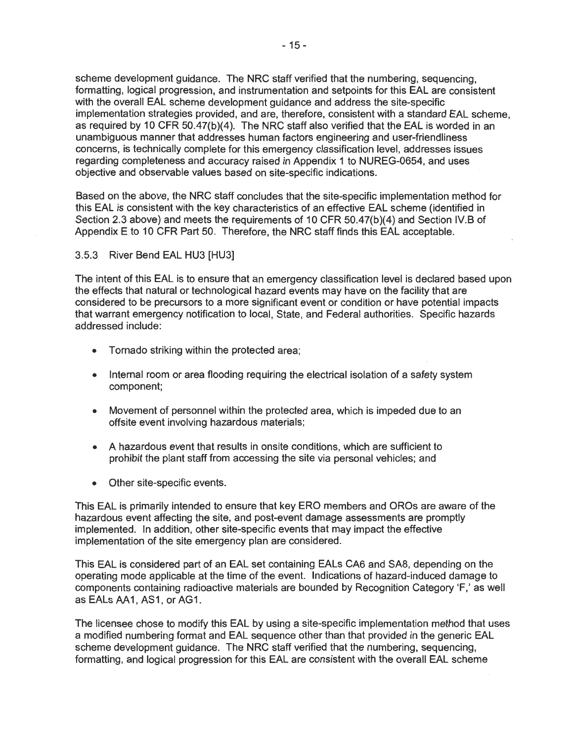scheme development guidance. The NRC staff verified that the numbering, sequencing, formatting, logical progression, and instrumentation and setpoints for this EAL are consistent with the overall EAL scheme development guidance and address the site-specific implementation strategies provided, and are, therefore, consistent with a standard EAL scheme, as required by 10 CFR 50.47(b)(4). The NRC staff also verified that the EAL is worded in an unambiguous manner that addresses human factors engineering and user-friendliness concerns, is technically complete for this emergency classification level, addresses issues regarding completeness and accuracy raised in Appendix 1 to NUREG-0654, and uses objective and observable values based on site-specific indications.

Based on the above, the NRC staff concludes that the site-specific implementation method for this EAL is consistent with the key characteristics of an effective EAL scheme (identified in Section 2.3 above) and meets the requirements of 10 CFR 50.47(b)(4) and Section IV.B of Appendix E to 10 CFR Part 50. Therefore, the NRC staff finds this EAL acceptable.

3.5.3 River Bend EAL HU3 [HU3]

The intent of this EAL is to ensure that an emergency classification level is declared based upon the effects that natural or technological hazard events may have on the facility that are considered to be precursors to a more significant event or condition or have potential impacts that warrant emergency notification to local, State, and Federal authorities. Specific hazards addressed include:

- Tornado striking within the protected area;
- Internal room or area flooding requiring the electrical isolation of a safety system component;
- Movement of personnel within the protected area, which is impeded due to an offsite event involving hazardous materials;
- A hazardous event that results in onsite conditions, which are sufficient to prohibit the plant staff from accessing the site via personal vehicles; and
- Other site-specific events.

This EAL is primarily intended to ensure that key ERO members and OROs are aware of the hazardous event affecting the site, and post-event damage assessments are promptly implemented. In addition, other site-specific events that may impact the effective implementation of the site emergency plan are considered.

This EAL is considered part of an EAL set containing EALs CA6 and SA8, depending on the operating mode applicable at the time of the event. Indications of hazard-induced damage to components containing radioactive materials are bounded by Recognition Category 'F,' as well as EALs AA1, AS1, or AG1.

The licensee chose to modify this EAL by using a site-specific implementation method that uses a modified numbering format and EAL sequence other than that provided in the generic EAL scheme development guidance. The NRC staff verified that the numbering, sequencing, formatting, and logical progression for this EAL are consistent with the overall EAL scheme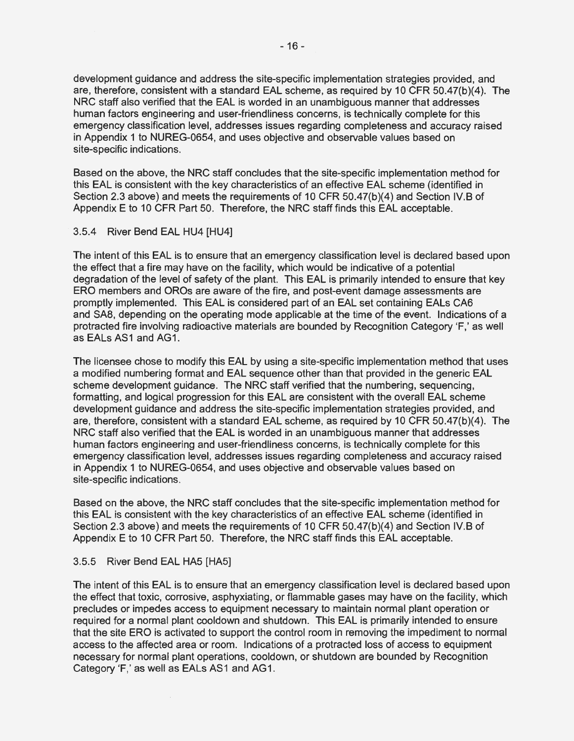development guidance and address the site-specific implementation strategies provided, and are, therefore, consistent with a standard EAL scheme, as required by 10 CFR 50.47(b)(4). The NRC staff also verified that the EAL is worded in an unambiguous manner that addresses human factors engineering and user-friendliness concerns, is technically complete for this emergency classification level, addresses issues regarding completeness and accuracy raised in Appendix 1 to NUREG-0654, and uses objective and observable values based on site-specific indications.

Based on the above, the NRC staff concludes that the site-specific implementation method for this EAL is consistent with the key characteristics of an effective EAL scheme (identified in Section 2.3 above) and meets the requirements of 10 CFR 50.47(b)(4) and Section IV.B of Appendix E to 10 CFR Part 50. Therefore, the NRC staff finds this EAL acceptable.

## 3.5.4 River Bend EAL HU4 [HU4]

The intent of this EAL is to ensure that an emergency classification level is declared based upon the effect that a fire may have on the facility, which would be indicative of a potential degradation of the level of safety of the plant. This EAL is primarily intended to ensure that key ERO members and OROs are aware of the fire, and post-event damage assessments are promptly implemented. This EAL is considered part of an EAL set containing EALs CA6 and SA8, depending on the operating mode applicable at the time of the event. Indications of a protracted fire involving radioactive materials are bounded by Recognition Category 'F,' as well as EALs AS1 and AG1.

The licensee chose to modify this EAL by using a site-specific implementation method that uses a modified numbering format and EAL sequence other than that provided in the generic EAL scheme development guidance. The NRC staff verified that the numbering, sequencing, formatting, and logical progression for this EAL are consistent with the overall EAL scheme development guidance and address the site-specific implementation strategies provided, and are, therefore, consistent with a standard EAL scheme, as required by 10 CFR 50.47(b)(4). The NRC staff also verified that the EAL is worded in an unambiguous manner that addresses human factors engineering and user-friendliness concerns, is technically complete for this emergency classification level, addresses issues regarding completeness and accuracy raised in Appendix 1 to NUREG-0654, and uses objective and observable values based on site-specific indications.

Based on the above, the NRC staff concludes that the site-specific implementation method for this EAL is consistent with the key characteristics of an effective EAL scheme (identified in Section 2.3 above) and meets the requirements of 10 CFR 50.47(b)(4) and Section IV.B of Appendix E to 10 CFR Part 50. Therefore, the NRC staff finds this EAL acceptable.

## 3.5.5 River Bend EAL HAS [HAS]

The intent of this EAL is to ensure that an emergency classification level is declared based upon the effect that toxic, corrosive, asphyxiating, or flammable gases may have on the facility, which precludes or impedes access to equipment necessary to maintain normal plant operation or required for a normal plant cooldown and shutdown. This EAL is primarily intended to ensure that the site ERO is activated to support the control room in removing the impediment to normal access to the affected area or room. Indications of a protracted loss of access to equipment necessary for normal plant operations, cooldown, or shutdown are bounded by Recognition Category 'F,' as well as EALs AS1 and AG1.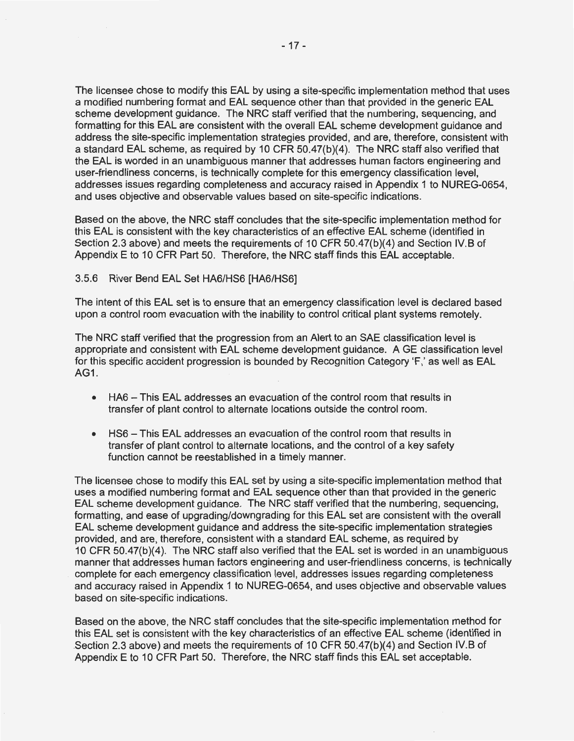The licensee chose to modify this EAL by using a site-specific implementation method that uses a modified numbering format and EAL sequence other than that provided in the generic EAL scheme development guidance. The NRC staff verified that the numbering, sequencing, and formatting for this EAL are consistent with the overall EAL scheme development guidance and address the site-specific implementation strategies provided, and are, therefore, consistent with a standard EAL scheme, as required by 10 CFR 50.47(b)(4). The NRC staff also verified that the EAL is worded in an unambiguous manner that addresses human factors engineering and user-friendliness concerns, is technically complete for this emergency classification level, addresses issues regarding completeness and accuracy raised in Appendix 1 to NUREG-0654, and uses objective and observable values based on site-specific indications.

Based on the above, the NRC staff concludes that the site-specific implementation method for this EAL is consistent with the key characteristics of an effective EAL scheme (identified in Section 2.3 above) and meets the requirements of 10 CFR 50.47(b)(4) and Section IV.B of Appendix E to 10 CFR Part 50. Therefore, the NRC staff finds this EAL acceptable.

#### 3.5.6 River Bend EAL Set HA6/HS6 [HA6/HS6]

The intent of this EAL set is to ensure that an emergency classification level is declared based upon a control room evacuation with the inability to control critical plant systems remotely.

The NRC staff verified that the progression from an Alert to an SAE classification level is appropriate and consistent with EAL scheme development guidance. A GE classification level for this specific accident progression is bounded by Recognition Category 'F,' as well as EAL **AG1.** 

- HA6 This EAL addresses an evacuation of the control room that results in transfer of plant control to alternate locations outside the control room.
- HS6 This EAL addresses an evacuation of the control room that results in transfer of plant control to alternate locations, and the control of a key safety function cannot be reestablished in a timely manner.

The licensee chose to modify this EAL set by using a site-specific implementation method that uses a modified numbering format and EAL sequence other than that provided in the generic EAL scheme development guidance. The NRC staff verified that the numbering, sequencing, formatting, and ease of upgrading/downgrading for this EAL set are consistent with the overall EAL scheme development guidance and address the site-specific implementation strategies provided, and are, therefore, consistent with a standard EAL scheme, as required by 10 CFR 50.47(b)(4). The NRC staff also verified that the EAL set is worded in an unambiguous manner that addresses human factors engineering and user-friendliness concerns, is technically complete for each emergency classification level, addresses issues regarding completeness and accuracy raised in Appendix 1 to NUREG-0654, and uses objective and observable values based on site-specific indications.

Based on the above, the NRC staff concludes that the site-specific implementation method for this EAL set is consistent with the key characteristics of an effective EAL scheme (identified in .Section 2.3 above) and meets the requirements of 10 CFR 50.47(b)(4) and Section IV.B of Appendix E to 10 CFR Part 50. Therefore, the NRC staff finds this EAL set acceptable.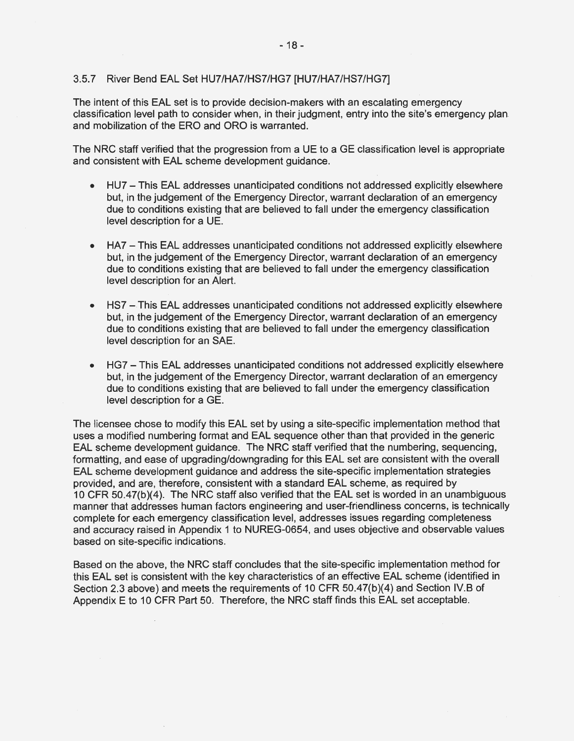#### 3.5.7 River Bend EAL Set HU7/HA7/HS7/HG7 [HU7/HA7/HS7/HG7]

The intent of this EAL set is to provide decision-makers with an escalating emergency classification level path to consider when, in their judgment, entry into the site's emergency plan and mobilization of the ERO and ORO is warranted.

The NRC staff verified that the progression from a UE to a GE classification level is appropriate and consistent with EAL scheme development guidance.

- HU? This EAL addresses unanticipated conditions not addressed explicitly elsewhere but, in the judgement of the Emergency Director, warrant declaration of an emergency due to conditions existing that are believed to fall under the emergency classification level description for a UE.
- HA7 This EAL addresses unanticipated conditions not addressed explicitly elsewhere but, in the judgement of the Emergency Director, warrant declaration of an emergency due to conditions existing that are believed to fall under the emergency classification level description for an Alert.
- HS7 This EAL addresses unanticipated conditions not addressed explicitly elsewhere but, in the judgement of the Emergency Director, warrant declaration of an emergency due to conditions existing that are believed to fall under the emergency classification level description for an SAE.
- HG? This EAL addresses unanticipated conditions not addressed explicitly elsewhere but, in the judgement of the Emergency Director, warrant declaration of an emergency due to conditions existing that are believed to fall under the emergency classification level description for a GE.

The licensee chose to modify this EAL set by using a site-specific implementation method that uses a modified numbering format and EAL sequence other than that provided in the generic EAL scheme development guidance. The NRC staff verified that the numbering, sequencing, formatting, and ease of upgrading/downgrading for this EAL set are consistent with the overall EAL scheme development guidance and address the site-specific implementation strategies provided, and are, therefore, consistent with a standard EAL scheme, as required by 10 CFR 50.47(b)(4). The NRC staff also verified that the EAL set is worded in an unambiguous manner that addresses human factors engineering and user-friendliness concerns, is technically complete for each emergency classification level, addresses issues regarding completeness and accuracy raised in Appendix 1 to NUREG-0654, and uses objective and observable values based on site-specific indications.

Based on the above, the NRC staff concludes that the site-specific implementation method for this EAL set is consistent with the key characteristics of an effective EAL scheme (identified in Section 2.3 above) and meets the requirements of 10 CFR 50.47(b)(4) and Section IV.B of Appendix E to 10 CFR Part 50. Therefore, the NRC staff finds this EAL set acceptable.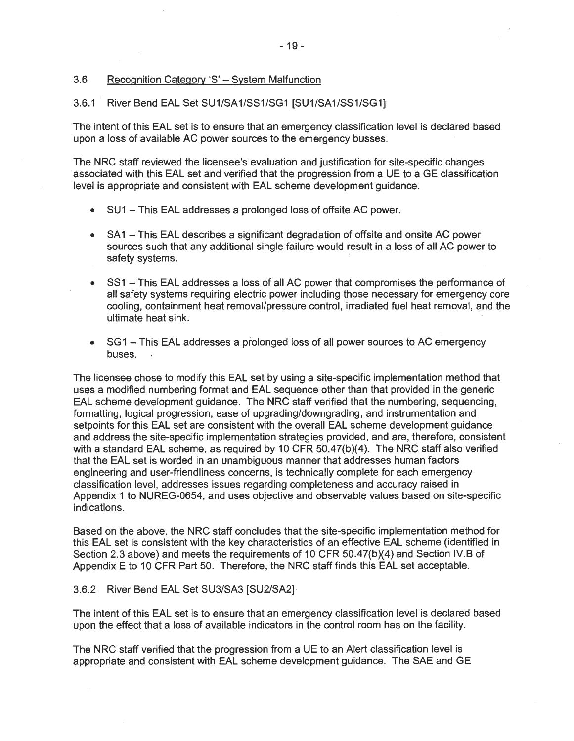## 3.6 Recognition Category 'S' - System Malfunction

#### 3.6.1 . River Bend EAL Set SU1/SA1/SS1/SG1 [SU1/SA1/SS1/SG1]

The intent of this EAL set is to ensure that an emergency classification level is declared based upon a loss of available AC power sources to the emergency busses.

The NRC staff reviewed the licensee's evaluation and justification for site-specific changes associated with this EAL set and verified that the progression from a UE to a GE classification level is appropriate and consistent with EAL scheme development guidance.

- SU 1 This EAL addresses a prolonged loss of offsite AC power.
- SA1 This EAL describes a significant degradation of offsite and onsite AC power sources such that any additional single failure would result in a loss of all AC power to safety systems.
- SS1 This EAL addresses a loss of all AC power that compromises the performance of all safety systems requiring electric power including those necessary for emergency core cooling, containment heat removal/pressure control, irradiated fuel heat removal, and the ultimate heat sink.
- SG1 This EAL addresses a prolonged loss of all power sources to AC emergency buses.

The licensee chose to modify this EAL set by using a site-specific implementation method that uses a modified numbering format and EAL sequence other than that provided in the generic EAL scheme development guidance. The NRC staff verified that the numbering, sequencing, formatting, logical progression, ease of upgrading/downgrading, and instrumentation and setpoints for this EAL set are consistent with the overall EAL scheme development guidance and address the site-specific implementation strategies provided, and are, therefore, consistent with a standard EAL scheme, as required by 10 CFR 50.47(b)(4). The NRC staff also verified that the EAL set is worded in an unambiguous manner that addresses human factors engineering and user-friendliness concerns, is technically complete for each emergency classification level, addresses issues regarding completeness and accuracy raised in Appendix 1 to NUREG-0654, and uses objective and observable values based on site-specific indications.

Based on the above, the NRC staff concludes that the site-specific implementation method for this EAL set is consistent with the key characteristics of an effective EAL scheme (identified in Section 2.3 above) and meets the requirements of 10 CFR 50.47(b)(4) and Section IV.B of Appendix E to 10 CFR Part 50. Therefore, the NRC staff finds this EAL set acceptable.

#### 3.6.2 River Bend EAL Set SU3/SA3 [SU2/SA2]

The intent of this EAL set is to ensure that an emergency classification level is declared based upon the effect that a loss of available indicators in the control room has on the facility.

The NRC staff verified that the progression from a UE to an Alert classification level is appropriate and consistent with EAL scheme development guidance. The SAE and GE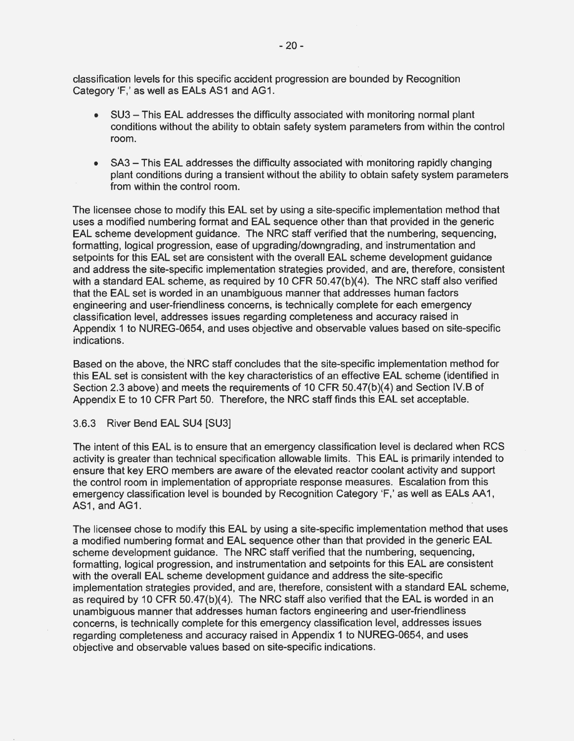classification levels for this specific accident progression are bounded by Recognition Category 'F,' as well as EALs AS1 and AG1.

- SU3 This EAL addresses the difficulty associated with monitoring normal plant conditions without the ability to obtain safety system parameters from within the control room.
- SA3 This EAL addresses the difficulty associated with monitoring rapidly changing plant conditions during a transient without the ability to obtain safety system parameters from within the control room.

The licensee chose to modify this EAL set by using a site-specific implementation method that uses a modified numbering format and EAL sequence other than that provided in the generic EAL scheme development guidance. The NRC staff verified that the numbering, sequencing, formatting, logical progression, ease of upgrading/downgrading, and instrumentation and setpoints for this EAL set are consistent with the overall EAL scheme development guidance and address the site-specific implementation strategies provided, and are, therefore, consistent with a standard EAL scheme, as required by 10 CFR 50.47(b)(4). The NRC staff also verified that the EAL set is worded in an unambiguous manner that addresses human factors engineering and user-friendliness concerns, is technically complete for each emergency classification level, addresses issues regarding completeness and accuracy raised in Appendix 1 to NUREG-0654, and uses objective and observable values based on site-specific indications.

Based on the above, the NRC staff concludes that the site-specific implementation method for this EAL set is consistent with the key characteristics of an effective EAL scheme (identified in Section 2.3 above) and meets the requirements of 10 CFR 50.47(b)(4) and Section IV.B of Appendix E to 10 CFR Part 50. Therefore, the NRC staff finds this EAL set acceptable.

#### 3.6.3 River Bend EAL SU4 [SU3]

The intent of this EAL is to ensure that an emergency classification level is declared when RCS activity is greater than technical specification allowable limits. This EAL is primarily intended to ensure that key ERO members are aware of the elevated reactor coolant activity and support the control room in implementation of appropriate response measures. Escalation from this emergency classification level is bounded by Recognition Category 'F,' as well as EALs AA 1, AS1, and AG1.

The licensee chose to modify this EAL by using a site-specific implementation method that uses a modified numbering format and EAL sequence other than that provided in the generic EAL scheme development guidance. The NRC staff verified that the numbering, sequencing, formatting, logical progression, and instrumentation and setpoints for this EAL are consistent with the overall EAL scheme development guidance and address the site-specific implementation strategies provided, and are, therefore, consistent with a standard EAL scheme, as required by 10 CFR 50.47(b)(4). The NRC staff also verified that the EAL is worded in an unambiguous manner that addresses human factors engineering and user-friendliness concerns, is technically complete for this emergency classification level, addresses issues regarding completeness and accuracy raised in Appendix 1 to NUREG-0654, and uses objective and observable values based on site-specific indications.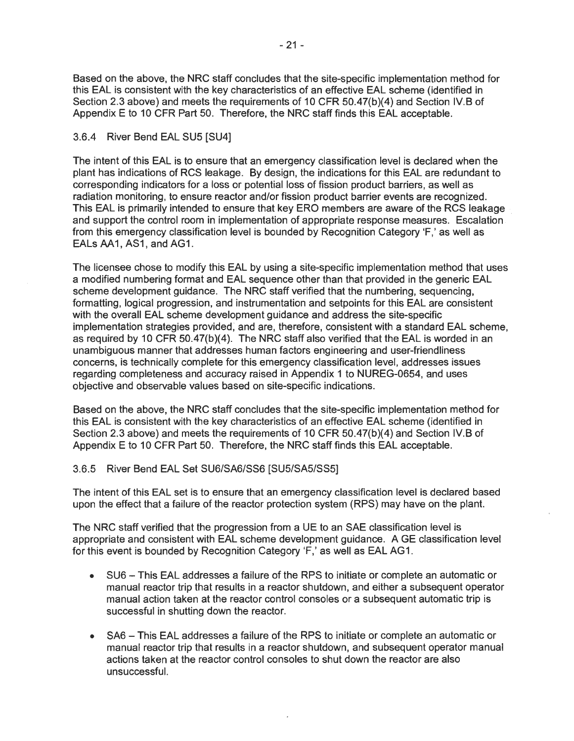Based on the above, the NRC staff concludes that the site-specific implementation method for this EAL is consistent with the key characteristics of an effective EAL scheme (identified in Section 2.3 above) and meets the requirements of 10 CFR 50.47(b)(4) and Section IV.B of Appendix E to 10 CFR Part 50. Therefore, the NRC staff finds this EAL acceptable.

## 3.6.4 River Bend EAL SU5 [SU4]

The intent of this EAL is to ensure that an emergency classification level is declared when the plant has indications of RCS leakage. By design, the indications for this EAL are redundant to corresponding indicators for a loss or potential loss of fission product barriers, as well as radiation monitoring, to ensure reactor and/or fission product barrier events are recognized. This EAL is primarily intended to ensure that key ERO members are aware of the RCS leakage and support the control room in implementation of appropriate response measures. Escalation from this emergency classification level is bounded by Recognition Category 'F,' as well as EALs AA1, AS1, and AG1.

The licensee chose to modify this EAL by using a site-specific implementation method that uses a modified numbering format and EAL sequence other than that provided in the generic EAL scheme development guidance. The NRC staff verified that the numbering, sequencing, formatting, logical progression, and instrumentation and setpoints for this EAL are consistent with the overall EAL scheme development guidance and address the site-specific implementation strategies provided; and are, therefore, consistent with a standard EAL scheme, as required by 10 CFR 50.47(b)(4). The NRC staff also verified that the EAL is worded in an unambiguous manner that addresses human factors engineering and user-friendliness concerns, is technically complete for this emergency classification level, addresses issues regarding completeness and accuracy raised in Appendix 1 to NUREG-0654, and uses objective and observable values based on site-specific indications.

Based on the above, the NRC staff concludes that the site-specific implementation method for this EAL is consistent with the key characteristics of an effective EAL scheme (identified in Section 2.3 above) and meets the requirements of 10 CFR 50.47(b)(4) and Section IV.B of Appendix E to 10 CFR Part 50. Therefore, the NRC staff finds this EAL acceptable.

## 3.6.5 River Bend EAL Set SU6/SA6/SS6 [SU5/SA5/SS5]

The intent of this EAL set is to ensure that an emergency classification level is declared based upon the effect that a failure of the reactor protection system (RPS) may have on the plant.

The NRC staff verified that the progression from a UE to an SAE classification level is appropriate and consistent with EAL scheme development guidance. A GE classification level for this event is bounded by Recognition Category 'F,' as well as EAL AG1.

- SU6 This EAL addresses a failure of the RPS to initiate or complete an automatic or manual reactor trip that results in a reactor shutdown, and either a subsequent operator manual action taken at the reactor control consoles or a subsequent automatic trip is successful in shutting down the reactor.
- SA6 This EAL addresses a failure of the RPS to initiate or complete an automatic or manual reactor trip that results in a reactor shutdown, and subsequent operator manual actions taken at the reactor control consoles to shut down the reactor are also unsuccessful.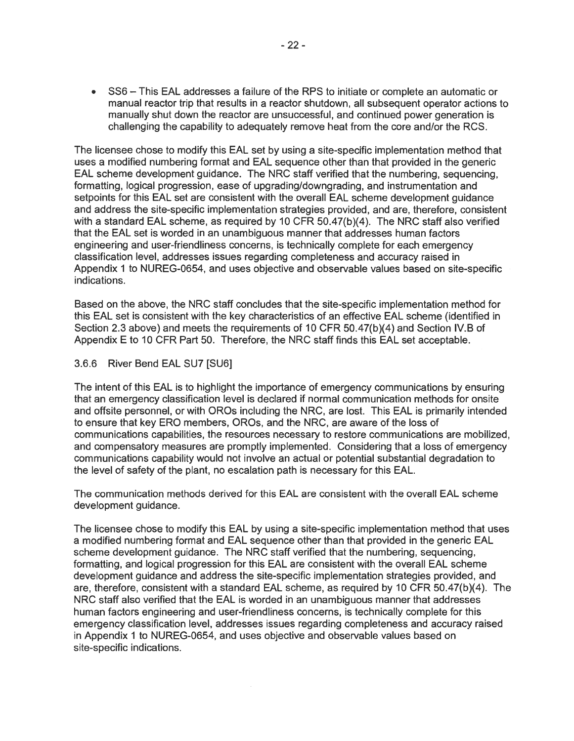• SS6 - This EAL addresses a failure of the RPS to initiate or complete an automatic or manual reactor trip that results in a reactor shutdown, all subsequent operator actions to manually shut down the reactor are unsuccessful, and continued power generation is challenging the capability to adequately remove heat from the core and/or the RCS.

The licensee chose to modify this EAL set by using a site-specific implementation method that uses a modified numbering format and EAL sequence other than that provided in the generic EAL scheme development guidance. The NRC staff verified that the numbering, sequencing, formatting, logical progression, ease of upgrading/downgrading, and instrumentation and setpoints for this EAL set are consistent with the overall EAL scheme development guidance and address the site-specific implementation strategies provided, and are, therefore, consistent with a standard EAL scheme, as required by 10 CFR 50.47(b)(4). The NRC staff also verified that the EAL set is worded in an unambiguous manner that addresses human factors engineering and user-friendliness concerns, is technically complete for each emergency classification level, addresses issues regarding completeness and accuracy raised in Appendix 1 to NUREG-0654, and uses objective and observable values based on site-specific indications.

Based on the above, the NRC staff concludes that the site-specific implementation method for this EAL set is consistent with the key characteristics of an effective EAL scheme (identified in Section 2.3 above) and meets the requirements of 10 CFR 50.47(b)(4) and Section IV.B of Appendix E to 10 CFR Part 50. Therefore, the NRC staff finds this EAL set acceptable.

## 3.6.6 River Bend EAL SU? [SU6]

The intent of this EAL is to highlight the importance of emergency communications by ensuring that an emergency classification level is declared if normal communication methods for onsite and offsite personnel, or with OROs including the NRC, are lost. This EAL is primarily intended to ensure that key ERO members, OROs, and the NRC, are aware of the loss of communications capabilities, the resources necessary to restore communications are mobilized, and compensatory measures are promptly implemented. Considering that a loss of emergency communications capability would not involve an actual or potential substantial degradation to the level of safety of the plant, no escalation path is necessary for this EAL.

The communication methods derived for this EAL are consistent with the overall EAL scheme development guidance.

The licensee chose to modify this EAL by using a site-specific implementation method that uses a modified numbering format and EAL sequence other than that provided in the generic EAL scheme development guidance. The NRC staff verified that the numbering, sequencing, formatting, and logical progression for this EAL are consistent with the overall EAL scheme development guidance and address the site-specific implementation strategies provided, and are, therefore, consistent with a standard EAL scheme, as required by 10 CFR 50.47(b)(4). The NRC staff also verified that the EAL is worded in an unambiguous manner that addresses human factors engineering and user-friendliness concerns, is technically complete for this emergency classification level, addresses issues regarding completeness and accuracy raised in Appendix 1 to NUREG-0654, and uses objective and observable values based on site-specific indications.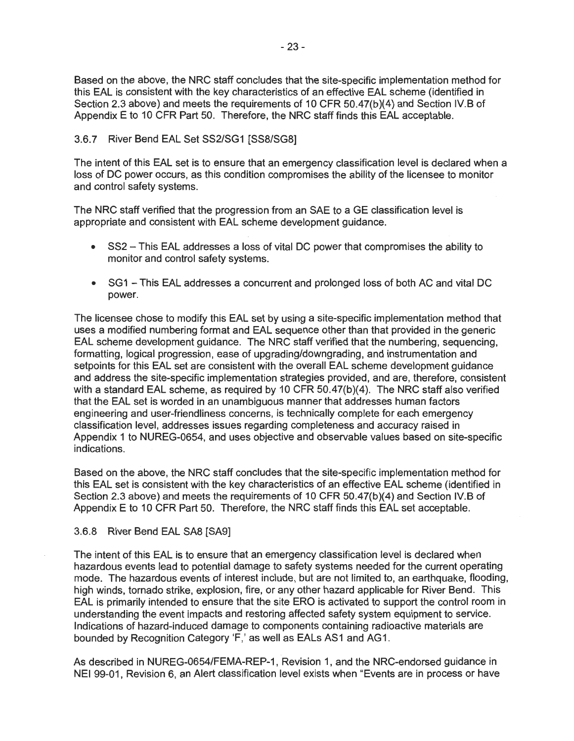Based on the above, the NRC staff concludes that the site-specific implementation method for this EAL is consistent with the key characteristics of an effective EAL scheme (identified in Section 2.3 above) and meets the requirements of 10 CFR 50.47(b)(4) and Section IV.B of Appendix E to 10 CFR Part 50. Therefore, the NRC staff finds this EAL acceptable.

# 3.6.7 River Bend EAL Set SS2/SG1 [SS8/SG8]

The intent of this EAL set is to ensure that an emergency classification level is declared when a loss of DC power occurs, as this condition compromises the ability of the licensee to monitor and control safety systems.

The NRC staff verified that the progression from an SAE to a GE classification level is appropriate and consistent with EAL scheme development guidance.

- SS2 This EAL addresses a loss of vital DC power that compromises the ability to monitor and control safety systems.
- SG1 This EAL addresses a concurrent and prolonged loss of both AC and vital DC power.

The licensee chose to modify this EAL set by using a site-specific implementation method that uses a modified numbering format and EAL sequence other than that provided in the generic EAL scheme development guidance. The NRC staff verified that the numbering, sequencing, formatting, logical progression, ease of upgrading/downgrading, and instrumentation and setpoints for this EAL set are consistent with the overall EAL scheme development guidance and address the site-specific implementation strategies provided, and are, therefore, consistent with a standard EAL scheme, as required by 10 CFR 50.47(b)(4). The NRC staff also verified that the EAL set is worded in an unambiguous manner that addresses human factors engineering and user-friendliness concerns, is technically complete for each emergency classification level, addresses issues regarding completeness and accuracy raised in Appendix 1 to NUREG-0654, and uses objective and observable values based on site-specific indications.

Based on the above, the NRC staff concludes that the site-specific implementation method for this EAL set is consistent with the key characteristics of an effective EAL scheme (identified in Section 2.3 above) and meets the requirements of 10 CFR 50.47(b)(4) and Section IV.B of Appendix E to 10 CFR Part 50. Therefore, the NRC staff finds this EAL set acceptable.

## 3.6.8 River Bend EAL SAS [SA9]

The intent of this EAL is to ensure that an emergency classification level is declared when hazardous events lead to potential damage to safety systems needed for the current operating mode. The hazardous events of interest include, but are not limited to, an earthquake, flooding, high winds, tornado strike, explosion, fire, or any other hazard applicable for River Bend. This EAL is primarily intended to ensure that the site ERO is activated to support the control room in understanding the event impacts and restoring affected safety system equipment to service. Indications of hazard-induced damage to components containing radioactive materials are bounded by Recognition Category 'F,' as well as EALs AS1 and AG1.

As described in NUREG-0654/FEMA-REP-1, Revision 1, and the NRG-endorsed guidance in NEI 99-01, Revision 6, an Alert classification level exists when "Events are in process or have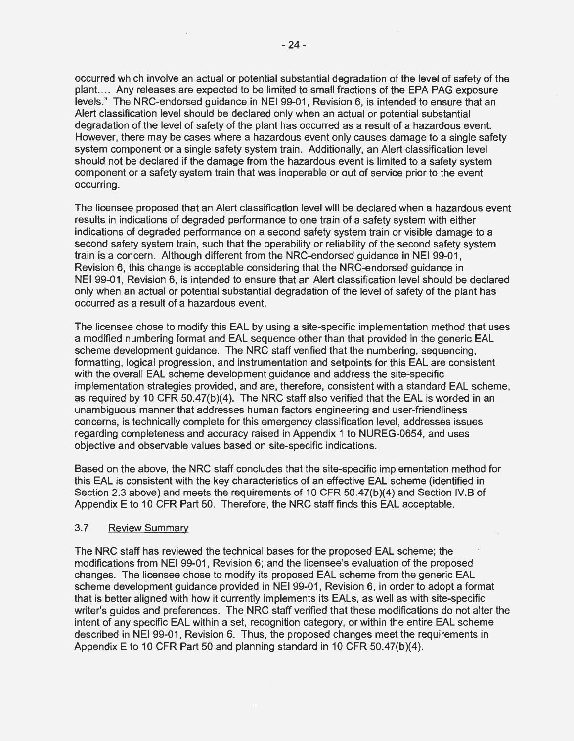occurred which involve an actual or potential substantial degradation of the level of safety of the plant. ... Any releases are expected to be limited to small fractions of the EPA PAG exposure levels." The NRG-endorsed guidance in NEI 99-01, Revision 6, is intended to ensure that an Alert classification level should be declared only when an actual or potential substantial degradation of the level of safety of the plant has occurred as a result of a hazardous event. However, there may be cases where a hazardous event only causes damage to a single safety system component or a single safety system train. Additionally, an Alert classification level should not be declared if the damage from the hazardous event is limited to a safety system component or a safety system train that was inoperable or out of service prior to the event occurring.

The licensee proposed that an Alert classification level will be declared when a hazardous event results in indications of degraded performance to one train of a safety system with either indications of degraded performance on a second safety system train or visible damage to a second safety system train, such that the operability or reliability of the second safety system train is a concern. Although different from the NRG-endorsed guidance in NEI 99-01, Revision 6, this change is acceptable considering that the NRG-endorsed guidance in NEI 99-01, Revision 6, is intended to ensure that an Alert classification level should be declared only when an actual or potential substantial degradation of the level of safety of the plant has occurred as a result of a hazardous event.

The licensee chose to modify this EAL by using a site-specific implementation method that uses a modified numbering format and EAL sequence other than that provided in the generic EAL scheme development guidance. The NRG staff verified that the numbering, sequencing, formatting, logical progression, and instrumentation and setpoints for this EAL are consistent with the overall EAL scheme development guidance and address the site-specific implementation strategies provided, and are, therefore, consistent with a standard EAL scheme, as required by 10 GFR 50.47(b)(4). The NRG staff also verified that the EAL is worded in an unambiguous manner that addresses human factors engineering and user-friendliness concerns, is technically complete for this emergency classification level, addresses issues regarding completeness and accuracy raised in Appendix 1 to NUREG-0654, and uses objective and observable values based on site-specific indications.

Based on the above, the NRG staff concludes that the site-specific implementation method for · this EAL is consistent with the key characteristics of an effective EAL scheme (identified in Section 2.3 above) and meets the requirements of 10 GFR 50.47(b)(4) and Section IV.B of Appendix E to 10 GFR Part 50. Therefore, the NRG staff finds this EAL acceptable.

## 3.7 Review Summary

The NRG staff has reviewed the technical bases for the proposed EAL scheme; the modifications from NEI 99-01, Revision 6; and the licensee's evaluation of the proposed changes. The licensee chose to modify its proposed EAL scheme from the generic EAL scheme development guidance provided in NEI 99-01, Revision 6, in order to adopt a format that is better aligned with how it currently implements its EALs, as well as with site-specific writer's guides and preferences. The NRG staff verified that these modifications do not alter the intent of any specific EAL within a set, recognition category, or within the entire EAL scheme described in NEI 99-01, Revision 6. Thus, the proposed changes meet the requirements in Appendix E to 10 GFR Part 50 and planning standard in 10 GFR 50.47(b)(4).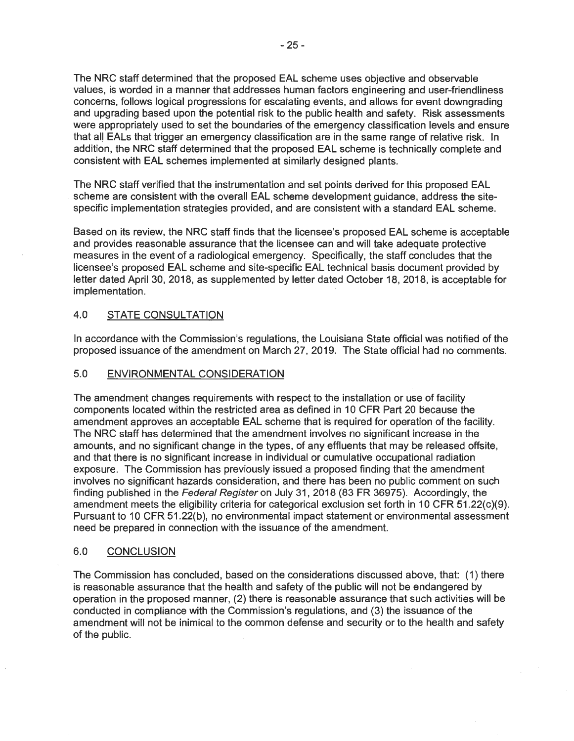The NRC staff determined that the proposed EAL scheme uses objective and observable values, is worded in a manner that addresses human factors engineering and user-friendliness concerns, follows logical progressions for escalating events, and allows for event downgrading and upgrading based upon the potential risk to the public health and safety. Risk assessments were appropriately used to set the boundaries of the emergency classification levels and ensure that all EALs that trigger an emergency classification are in the same range of relative risk. In addition, the NRC staff determined that the proposed EAL scheme is technically complete and consistent with EAL schemes implemented at similarly designed plants.

The NRC staff verified that the instrumentation and set points derived for this proposed EAL scheme are consistent with the overall EAL scheme development guidance, address the sitespecific implementation strategies provided, and are consistent with a standard EAL scheme.

Based on its review, the NRC staff finds that the licensee's proposed EAL scheme is acceptable and provides reasonable assurance that the licensee can and will take adequate protective measures in the event of a radiological emergency. Specifically, the staff concludes that the licensee's proposed EAL scheme and site-specific EAL technical basis document provided by letter dated April 30, 2018, as supplemented by letter dated October 18, 2018, is acceptable for implementation.

# 4.0 STATE CONSULTATION

In accordance with the Commission's regulations, the Louisiana State official was notified of the proposed issuance of the amendment on March 27, 2019. The State official had no comments.

## 5.0 ENVIRONMENTAL CONSIDERATION

The amendment changes requirements with respect to the installation or use of facility components located within the restricted area as defined in 10 CFR Part 20 because the amendment approves an acceptable EAL scheme that is required for operation of the facility. The NRC staff has determined that the amendment involves no significant increase in the amounts, and no significant change in the types, of any effluents that may be released offsite, and that there is no significant increase in individual or cumulative occupational radiation exposure. The Commission has previously issued a proposed finding that the amendment involves no significant hazards consideration, and there has been no public comment on such finding published in the Federal Register on July 31, 2018 (83 FR 36975). Accordingly, the amendment meets the eligibility criteria for categorical exclusion set forth in 10 CFR 51.22(c)(9). Pursuant to 10 CFR 51.22(b ), no environmental impact statement or environmental assessment need be prepared in connection with the issuance of the amendment.

## 6.0 CONCLUSION

The Commission has concluded, based on the considerations discussed above, that: (1) there is reasonable assurance that the health and safety of the public will not be endangered by operation in the proposed manner, (2) there is reasonable assurance that such activities will be conducted in compliance with the Commission's regulations, and (3) the issuance of the amendment will not be inimical to the common defense and security or to the health and safety of the public.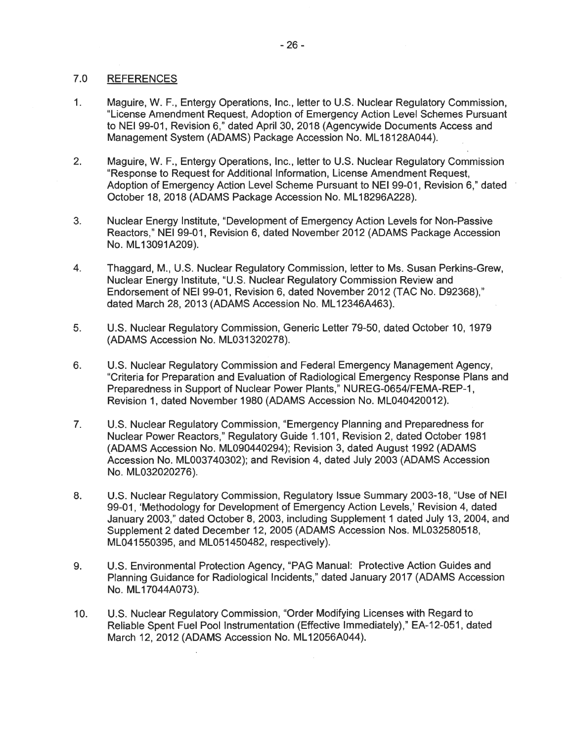#### 7.0 REFERENCES

- 1. Maguire, W. F., Entergy Operations, Inc., letter to U.S. Nuclear Regulatory Commission, "License Amendment Request, Adoption of Emergency Action Level Schemes Pursuant to NEI 99-01, Revision 6," dated April 30, 2018 (Agencywide Documents Access and Management System (ADAMS) Package Accession No. ML18128A044).
- 2. Maguire, W. F., Entergy Operations, Inc., letter to U.S. Nuclear Regulatory Commission "Response to Request for Additional Information, License Amendment Request, Adoption of Emergency Action Level Scheme Pursuant to NEI 99-01, Revision 6," dated October 18, 2018 (ADAMS Package Accession No. ML 18296A228).
- 3. Nuclear Energy Institute, "Development of Emergency Action Levels for Non-Passive Reactors," NEI 99-01, Revision 6, dated November 2012 (ADAMS Package Accession No. ML 13091A209).
- 4. Thaggard, M., U.S. Nuclear Regulatory Commission, letter to Ms. Susan Perkins-Grew, Nuclear Energy Institute, "U.S. Nuclear Regulatory Commission Review and Endorsement of NEI 99-01, Revision 6, dated November 2012 (TAC No. D92368)," dated March 28, 2013 (ADAMS Accession No. ML 12346A463).
- 5. U.S. Nuclear Regulatory Commission, Generic Letter 79-50, dated October 10, 1979 (ADAMS Accession No. ML031320278).
- 6. U.S. Nuclear Regulatory Commission and Federal Emergency Management Agency, "Criteria for Preparation and Evaluation of Radiological Emergency Response Plans and Preparedness in Support of Nuclear Power Plants," NUREG-0654/FEMA-REP-1, Revision 1, dated November 1980 (ADAMS Accession No. ML040420012).
- 7. U.S. Nuclear Regulatory Commission, "Emergency Planning and Preparedness for Nuclear Power Reactors," Regulatory Guide 1.101, Revision 2, dated October 1981 (ADAMS Accession No. ML090440294); Revision 3, dated August 1992 (ADAMS Accession No. ML0037 40302); and Revision 4, dated July 2003 (ADAMS Accession No. ML032020276).
- 8. U.S. Nuclear Regulatory Commission, Regulatory Issue Summary 2003-18, "Use of NEI 99-01, 'Methodology for Development of Emergency Action Levels,' Revision 4, dated January 2003," dated October 8, 2003, including Supplement 1 dated July 13, 2004, and Supplement 2 dated December 12, 2005 (ADAMS Accession Nos. ML032580518, ML041550395, and ML051450482; respectively).
- 9. U.S. Environmental Protection Agency, "PAG Manual: Protective Action Guides and Planning Guidance for Radiological Incidents.'' dated January 2017 (ADAMS Accession No. ML 17044A073).
- 10. U.S. Nuclear Regulatory Commission, "Order Modifying Licenses with Regard to Reliable Spent Fuel Pool Instrumentation (Effective Immediately}," EA-12-051, dated March 12, 2012 (ADAMS Accession No. ML 12056A044).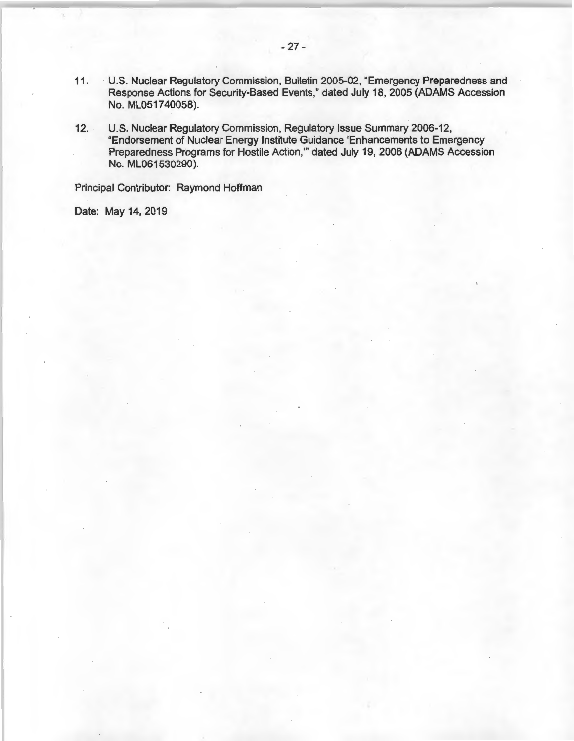- 11. U.S. Nuclear Regulatory Commission, Bulletin 2005-02, "Emergency Preparedness and Response Actions for Security-Based Events," dated July 18, 2005 (ADAMS Accession No. ML051740058).
- 12. U.S. Nuclear Regulatory Commission, Regulatory Issue Summary 2006-12, "Endorsement of Nuclear Energy Institute Guidance 'Enhancements to Emergency Preparedness Programs for Hostile Action,"' dated July 19, 2006 (ADAMS Accession No. ML061530290).

Principal Contributor: Raymond Hoffman

Date: May 14, 2019